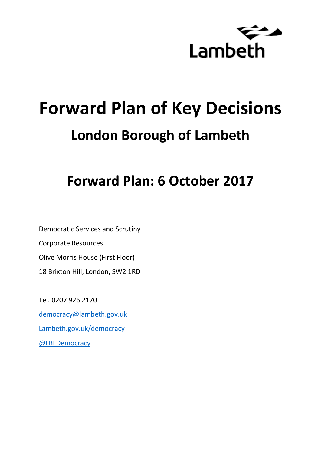

# **Forward Plan of Key Decisions London Borough of Lambeth**

## **Forward Plan: 6 October 2017**

Democratic Services and Scrutiny Corporate Resources Olive Morris House (First Floor) 18 Brixton Hill, London, SW2 1RD

Tel. 0207 926 2170 [democracy@lambeth.gov.uk](mailto:democracy@lambeth.gov.uk) [Lambeth.gov.uk/democracy](https://www.lambeth.gov.uk/elections-and-council/meetings-minutes-and-agendas/getting-involved-in-decision-making-guide) [@LBLDemocracy](https://twitter.com/LBLDemocracy?lang=en)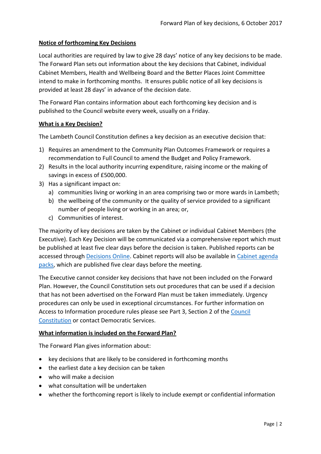## **Notice of forthcoming Key Decisions**

Local authorities are required by law to give 28 days' notice of any key decisions to be made. The Forward Plan sets out information about the key decisions that Cabinet, individual Cabinet Members, Health and Wellbeing Board and the Better Places Joint Committee intend to make in forthcoming months. It ensures public notice of all key decisions is provided at least 28 days' in advance of the decision date.

The Forward Plan contains information about each forthcoming key decision and is published to the Council website every week, usually on a Friday.

## **What is a Key Decision?**

The Lambeth Council Constitution defines a key decision as an executive decision that:

- 1) Requires an amendment to the Community Plan Outcomes Framework or requires a recommendation to Full Council to amend the Budget and Policy Framework.
- 2) Results in the local authority incurring expenditure, raising income or the making of savings in excess of £500,000.
- 3) Has a significant impact on:
	- a) communities living or working in an area comprising two or more wards in Lambeth;
	- b) the wellbeing of the community or the quality of service provided to a significant number of people living or working in an area; or,
	- c) Communities of interest.

The majority of key decisions are taken by the Cabinet or individual Cabinet Members (the Executive). Each Key Decision will be communicated via a comprehensive report which must be published at least five clear days before the decision is taken. Published reports can be accessed through [Decisions Online.](http://moderngov.lambeth.gov.uk/mgDelegatedDecisions.aspx?bcr=1&DM=0&DS=2&K=0&DR=&V=0) Cabinet reports will also be available in [Cabinet agenda](https://moderngov.lambeth.gov.uk/ieListMeetings.aspx?CommitteeId=225)  [packs,](https://moderngov.lambeth.gov.uk/ieListMeetings.aspx?CommitteeId=225) which are published five clear days before the meeting.

The Executive cannot consider key decisions that have not been included on the Forward Plan. However, the Council Constitution sets out procedures that can be used if a decision that has not been advertised on the Forward Plan must be taken immediately. Urgency procedures can only be used in exceptional circumstances. For further information on Access to Information procedure rules please see Part 3, Section 2 of the [Council](http://moderngov.lambeth.gov.uk/ieListMeetings.aspx?CId=738&info=1&MD=Constitution)  [Constitution](http://moderngov.lambeth.gov.uk/ieListMeetings.aspx?CId=738&info=1&MD=Constitution) or contact Democratic Services.

## **What information is included on the Forward Plan?**

The Forward Plan gives information about:

- key decisions that are likely to be considered in forthcoming months
- the earliest date a key decision can be taken
- who will make a decision
- what consultation will be undertaken
- whether the forthcoming report is likely to include exempt or confidential information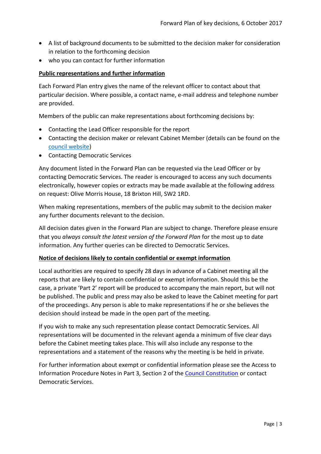- A list of background documents to be submitted to the decision maker for consideration in relation to the forthcoming decision
- who you can contact for further information

## **Public representations and further information**

Each Forward Plan entry gives the name of the relevant officer to contact about that particular decision. Where possible, a contact name, e-mail address and telephone number are provided.

Members of the public can make representations about forthcoming decisions by:

- Contacting the Lead Officer responsible for the report
- Contacting the decision maker or relevant Cabinet Member (details can be found on the [council website\)](http://moderngov.lambeth.gov.uk/mgMemberIndex.aspx?bcr=1)
- Contacting Democratic Services

Any document listed in the Forward Plan can be requested via the Lead Officer or by contacting Democratic Services. The reader is encouraged to access any such documents electronically, however copies or extracts may be made available at the following address on request: Olive Morris House, 18 Brixton Hill, SW2 1RD.

When making representations, members of the public may submit to the decision maker any further documents relevant to the decision.

All decision dates given in the Forward Plan are subject to change. Therefore please ensure that you *always consult the latest version of the Forward Plan* for the most up to date information. Any further queries can be directed to Democratic Services.

## **Notice of decisions likely to contain confidential or exempt information**

Local authorities are required to specify 28 days in advance of a Cabinet meeting all the reports that are likely to contain confidential or exempt information. Should this be the case, a private 'Part 2' report will be produced to accompany the main report, but will not be published. The public and press may also be asked to leave the Cabinet meeting for part of the proceedings. Any person is able to make representations if he or she believes the decision should instead be made in the open part of the meeting.

If you wish to make any such representation please contact Democratic Services. All representations will be documented in the relevant agenda a minimum of five clear days before the Cabinet meeting takes place. This will also include any response to the representations and a statement of the reasons why the meeting is be held in private.

For further information about exempt or confidential information please see the Access to Information Procedure Notes in Part 3, Section 2 of the [Council Constitution](http://www.lambeth.gov.uk/sites/default/files/ec-Council-Constitution-2014-15-approved-with-changes-November-2014.pdf) or contact Democratic Services.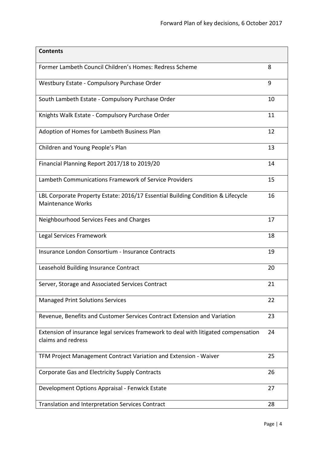| <b>Contents</b>                                                                                             |    |
|-------------------------------------------------------------------------------------------------------------|----|
| Former Lambeth Council Children's Homes: Redress Scheme                                                     | 8  |
| Westbury Estate - Compulsory Purchase Order                                                                 | 9  |
| South Lambeth Estate - Compulsory Purchase Order                                                            | 10 |
| Knights Walk Estate - Compulsory Purchase Order                                                             | 11 |
| Adoption of Homes for Lambeth Business Plan                                                                 | 12 |
| Children and Young People's Plan                                                                            | 13 |
| Financial Planning Report 2017/18 to 2019/20                                                                | 14 |
| Lambeth Communications Framework of Service Providers                                                       | 15 |
| LBL Corporate Property Estate: 2016/17 Essential Building Condition & Lifecycle<br><b>Maintenance Works</b> | 16 |
| Neighbourhood Services Fees and Charges                                                                     | 17 |
| Legal Services Framework                                                                                    | 18 |
| Insurance London Consortium - Insurance Contracts                                                           | 19 |
| Leasehold Building Insurance Contract                                                                       | 20 |
| Server, Storage and Associated Services Contract                                                            | 21 |
| <b>Managed Print Solutions Services</b>                                                                     | 22 |
| Revenue, Benefits and Customer Services Contract Extension and Variation                                    | 23 |
| Extension of insurance legal services framework to deal with litigated compensation<br>claims and redress   | 24 |
| TFM Project Management Contract Variation and Extension - Waiver                                            | 25 |
| Corporate Gas and Electricity Supply Contracts                                                              | 26 |
| Development Options Appraisal - Fenwick Estate                                                              | 27 |
| Translation and Interpretation Services Contract                                                            | 28 |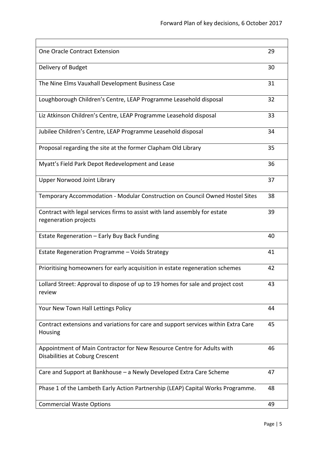| <b>One Oracle Contract Extension</b>                                                                      | 29 |
|-----------------------------------------------------------------------------------------------------------|----|
| Delivery of Budget                                                                                        | 30 |
| The Nine Elms Vauxhall Development Business Case                                                          | 31 |
| Loughborough Children's Centre, LEAP Programme Leasehold disposal                                         | 32 |
| Liz Atkinson Children's Centre, LEAP Programme Leasehold disposal                                         | 33 |
| Jubilee Children's Centre, LEAP Programme Leasehold disposal                                              | 34 |
| Proposal regarding the site at the former Clapham Old Library                                             | 35 |
| Myatt's Field Park Depot Redevelopment and Lease                                                          | 36 |
| <b>Upper Norwood Joint Library</b>                                                                        | 37 |
| Temporary Accommodation - Modular Construction on Council Owned Hostel Sites                              | 38 |
| Contract with legal services firms to assist with land assembly for estate<br>regeneration projects       | 39 |
| Estate Regeneration - Early Buy Back Funding                                                              | 40 |
| Estate Regeneration Programme - Voids Strategy                                                            | 41 |
| Prioritising homeowners for early acquisition in estate regeneration schemes                              | 42 |
| Lollard Street: Approval to dispose of up to 19 homes for sale and project cost<br>review                 | 43 |
| Your New Town Hall Lettings Policy                                                                        | 44 |
| Contract extensions and variations for care and support services within Extra Care<br>Housing             | 45 |
| Appointment of Main Contractor for New Resource Centre for Adults with<br>Disabilities at Coburg Crescent | 46 |
| Care and Support at Bankhouse - a Newly Developed Extra Care Scheme                                       | 47 |
| Phase 1 of the Lambeth Early Action Partnership (LEAP) Capital Works Programme.                           | 48 |
| <b>Commercial Waste Options</b>                                                                           | 49 |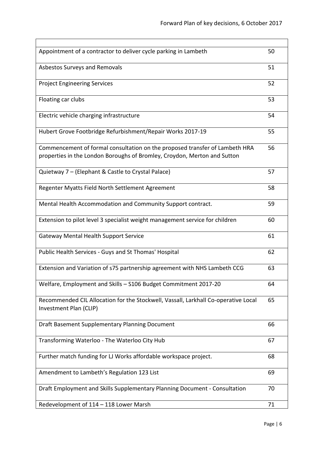| Appointment of a contractor to deliver cycle parking in Lambeth                                                                                         | 50 |
|---------------------------------------------------------------------------------------------------------------------------------------------------------|----|
| Asbestos Surveys and Removals                                                                                                                           | 51 |
| <b>Project Engineering Services</b>                                                                                                                     | 52 |
| Floating car clubs                                                                                                                                      | 53 |
| Electric vehicle charging infrastructure                                                                                                                | 54 |
| Hubert Grove Footbridge Refurbishment/Repair Works 2017-19                                                                                              | 55 |
| Commencement of formal consultation on the proposed transfer of Lambeth HRA<br>properties in the London Boroughs of Bromley, Croydon, Merton and Sutton | 56 |
| Quietway 7 - (Elephant & Castle to Crystal Palace)                                                                                                      | 57 |
| Regenter Myatts Field North Settlement Agreement                                                                                                        | 58 |
| Mental Health Accommodation and Community Support contract.                                                                                             | 59 |
| Extension to pilot level 3 specialist weight management service for children                                                                            | 60 |
| <b>Gateway Mental Health Support Service</b>                                                                                                            | 61 |
| Public Health Services - Guys and St Thomas' Hospital                                                                                                   | 62 |
| Extension and Variation of s75 partnership agreement with NHS Lambeth CCG                                                                               | 63 |
| Welfare, Employment and Skills - S106 Budget Commitment 2017-20                                                                                         | 64 |
| Recommended CIL Allocation for the Stockwell, Vassall, Larkhall Co-operative Local<br>Investment Plan (CLIP)                                            | 65 |
| Draft Basement Supplementary Planning Document                                                                                                          | 66 |
| Transforming Waterloo - The Waterloo City Hub                                                                                                           | 67 |
| Further match funding for LJ Works affordable workspace project.                                                                                        | 68 |
| Amendment to Lambeth's Regulation 123 List                                                                                                              | 69 |
| Draft Employment and Skills Supplementary Planning Document - Consultation                                                                              | 70 |
| Redevelopment of 114 - 118 Lower Marsh                                                                                                                  | 71 |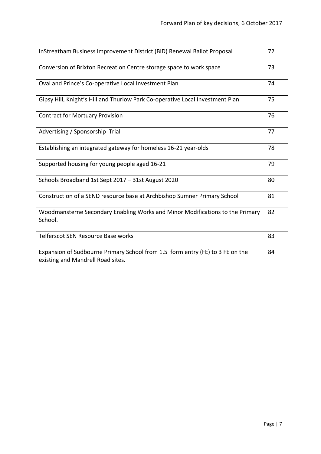| InStreatham Business Improvement District (BID) Renewal Ballot Proposal                                            | 72 |
|--------------------------------------------------------------------------------------------------------------------|----|
| Conversion of Brixton Recreation Centre storage space to work space                                                | 73 |
| Oval and Prince's Co-operative Local Investment Plan                                                               | 74 |
| Gipsy Hill, Knight's Hill and Thurlow Park Co-operative Local Investment Plan                                      | 75 |
| <b>Contract for Mortuary Provision</b>                                                                             | 76 |
| Advertising / Sponsorship Trial                                                                                    | 77 |
| Establishing an integrated gateway for homeless 16-21 year-olds                                                    | 78 |
| Supported housing for young people aged 16-21                                                                      | 79 |
| Schools Broadband 1st Sept 2017 - 31st August 2020                                                                 | 80 |
| Construction of a SEND resource base at Archbishop Sumner Primary School                                           | 81 |
| Woodmansterne Secondary Enabling Works and Minor Modifications to the Primary<br>School.                           | 82 |
| <b>Telferscot SEN Resource Base works</b>                                                                          | 83 |
| Expansion of Sudbourne Primary School from 1.5 form entry (FE) to 3 FE on the<br>existing and Mandrell Road sites. | 84 |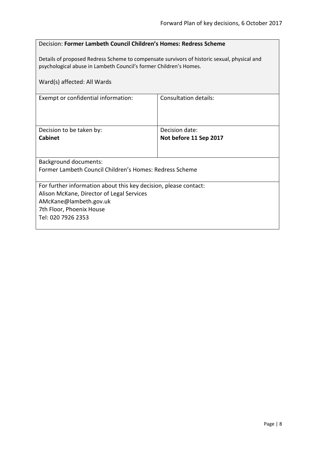## <span id="page-7-0"></span>Decision: **Former Lambeth Council Children's Homes: Redress Scheme**

Details of proposed Redress Scheme to compensate survivors of historic sexual, physical and psychological abuse in Lambeth Council's former Children's Homes.

| Ward(s) affected: All Wards                                                                                                                                                               |                                          |  |
|-------------------------------------------------------------------------------------------------------------------------------------------------------------------------------------------|------------------------------------------|--|
| Exempt or confidential information:                                                                                                                                                       | Consultation details:                    |  |
| Decision to be taken by:<br><b>Cabinet</b>                                                                                                                                                | Decision date:<br>Not before 11 Sep 2017 |  |
| <b>Background documents:</b><br>Former Lambeth Council Children's Homes: Redress Scheme                                                                                                   |                                          |  |
| For further information about this key decision, please contact:<br>Alison McKane, Director of Legal Services<br>AMcKane@lambeth.gov.uk<br>7th Floor, Phoenix House<br>Tel: 020 7926 2353 |                                          |  |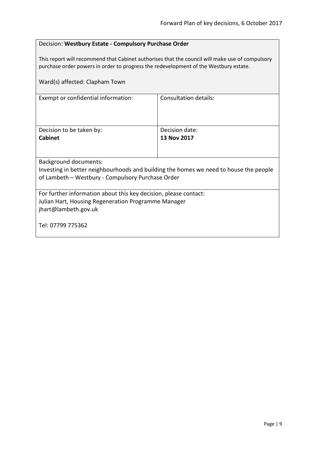## <span id="page-8-0"></span>Decision: **Westbury Estate - Compulsory Purchase Order**

This report will recommend that Cabinet authorises that the council will make use of compulsory purchase order powers in order to progress the redevelopment of the Westbury estate.

Ward(s) affected: Clapham Town Exempt or confidential information: Consultation details: Decision to be taken by: **Cabinet** Decision date: **13 Nov 2017** Background documents: Investing in better neighbourhoods and building the homes we need to house the people of Lambeth – Westbury - Compulsory Purchase Order For further information about this key decision, please contact: Julian Hart, Housing Regeneration Programme Manager jhart@lambeth.gov.uk Tel: 07799 775362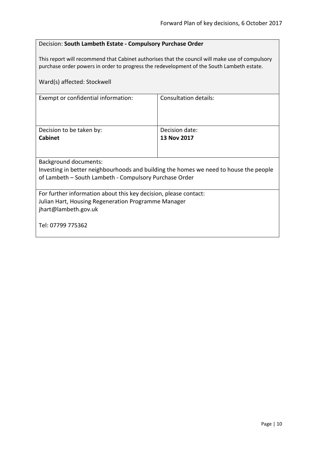## <span id="page-9-0"></span>Decision: **South Lambeth Estate - Compulsory Purchase Order**

This report will recommend that Cabinet authorises that the council will make use of compulsory purchase order powers in order to progress the redevelopment of the South Lambeth estate.

| Ward(s) affected: Stockwell                                                           |                       |  |
|---------------------------------------------------------------------------------------|-----------------------|--|
| Exempt or confidential information:                                                   | Consultation details: |  |
| Decision to be taken by:                                                              | Decision date:        |  |
| <b>Cabinet</b>                                                                        | 13 Nov 2017           |  |
| <b>Background documents:</b>                                                          |                       |  |
| Investing in better neighbourhoods and building the homes we need to house the people |                       |  |
| of Lambeth – South Lambeth - Compulsory Purchase Order                                |                       |  |
|                                                                                       |                       |  |
| For further information about this key decision, please contact:                      |                       |  |
| Julian Hart, Housing Regeneration Programme Manager                                   |                       |  |
| jhart@lambeth.gov.uk                                                                  |                       |  |
| Tel: 07799 775362                                                                     |                       |  |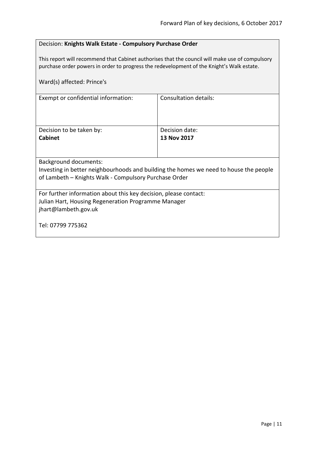## <span id="page-10-0"></span>Decision: **Knights Walk Estate - Compulsory Purchase Order**

This report will recommend that Cabinet authorises that the council will make use of compulsory purchase order powers in order to progress the redevelopment of the Knight's Walk estate.

| Ward(s) affected: Prince's                                                            |                              |  |
|---------------------------------------------------------------------------------------|------------------------------|--|
| Exempt or confidential information:                                                   | <b>Consultation details:</b> |  |
| Decision to be taken by:                                                              | Decision date:               |  |
| <b>Cabinet</b>                                                                        | 13 Nov 2017                  |  |
|                                                                                       |                              |  |
| <b>Background documents:</b>                                                          |                              |  |
| Investing in better neighbourhoods and building the homes we need to house the people |                              |  |
| of Lambeth - Knights Walk - Compulsory Purchase Order                                 |                              |  |
| For further information about this key decision, please contact:                      |                              |  |
| Julian Hart, Housing Regeneration Programme Manager                                   |                              |  |
| jhart@lambeth.gov.uk                                                                  |                              |  |
| Tel: 07799 775362                                                                     |                              |  |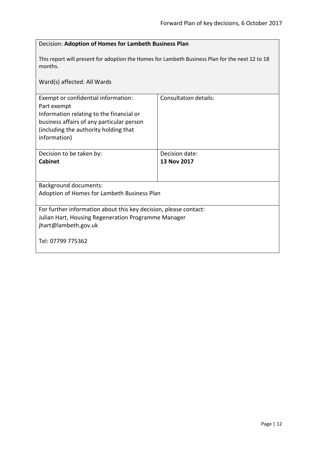<span id="page-11-0"></span>

| Decision: Adoption of Homes for Lambeth Business Plan                                                                                                                                                |                               |  |
|------------------------------------------------------------------------------------------------------------------------------------------------------------------------------------------------------|-------------------------------|--|
| This report will present for adoption the Homes for Lambeth Business Plan for the next 12 to 18<br>months.                                                                                           |                               |  |
| Ward(s) affected: All Wards                                                                                                                                                                          |                               |  |
| Exempt or confidential information:<br>Part exempt<br>Information relating to the financial or<br>business affairs of any particular person<br>(including the authority holding that<br>information) | <b>Consultation details:</b>  |  |
| Decision to be taken by:<br><b>Cabinet</b>                                                                                                                                                           | Decision date:<br>13 Nov 2017 |  |
|                                                                                                                                                                                                      |                               |  |
| <b>Background documents:</b>                                                                                                                                                                         |                               |  |
| Adoption of Homes for Lambeth Business Plan                                                                                                                                                          |                               |  |
| For further information about this key decision, please contact:<br>Julian Hart, Housing Regeneration Programme Manager<br>jhart@lambeth.gov.uk                                                      |                               |  |
| Tel: 07799 775362                                                                                                                                                                                    |                               |  |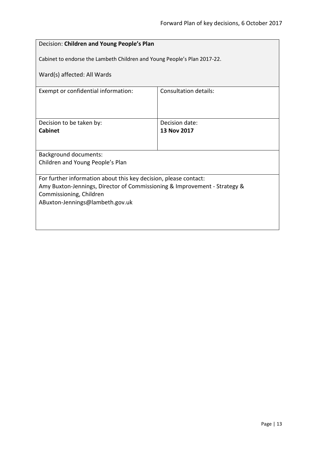<span id="page-12-0"></span>

| Decision: Children and Young People's Plan                                |                       |  |
|---------------------------------------------------------------------------|-----------------------|--|
| Cabinet to endorse the Lambeth Children and Young People's Plan 2017-22.  |                       |  |
| Ward(s) affected: All Wards                                               |                       |  |
| Exempt or confidential information:                                       | Consultation details: |  |
|                                                                           |                       |  |
| Decision to be taken by:                                                  | Decision date:        |  |
| <b>Cabinet</b>                                                            | 13 Nov 2017           |  |
|                                                                           |                       |  |
| <b>Background documents:</b>                                              |                       |  |
| Children and Young People's Plan                                          |                       |  |
| For further information about this key decision, please contact:          |                       |  |
| Amy Buxton-Jennings, Director of Commissioning & Improvement - Strategy & |                       |  |
| Commissioning, Children<br>ABuxton-Jennings@lambeth.gov.uk                |                       |  |
|                                                                           |                       |  |
|                                                                           |                       |  |
|                                                                           |                       |  |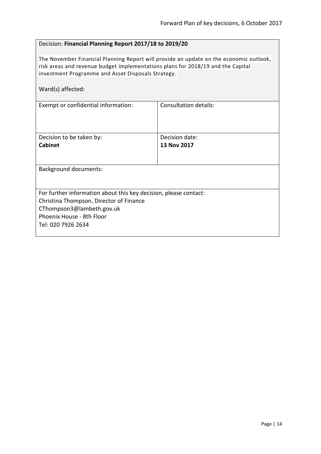## <span id="page-13-0"></span>Decision: **Financial Planning Report 2017/18 to 2019/20**

The November Financial Planning Report will provide an update on the economic outlook, risk areas and revenue budget implementations plans for 2018/19 and the Capital investment Programme and Asset Disposals Strategy.

Ward(s) affected:

| Exempt or confidential information:                              | Consultation details: |  |
|------------------------------------------------------------------|-----------------------|--|
|                                                                  |                       |  |
|                                                                  |                       |  |
|                                                                  |                       |  |
| Decision to be taken by:                                         | Decision date:        |  |
| <b>Cabinet</b>                                                   | 13 Nov 2017           |  |
|                                                                  |                       |  |
|                                                                  |                       |  |
| <b>Background documents:</b>                                     |                       |  |
|                                                                  |                       |  |
|                                                                  |                       |  |
| For further information about this key decision, please contact: |                       |  |
| Christina Thompson, Director of Finance                          |                       |  |
| CThompson3@lambeth.gov.uk                                        |                       |  |
| Phoenix House - 8th Floor                                        |                       |  |
| Tel: 020 7926 2634                                               |                       |  |
|                                                                  |                       |  |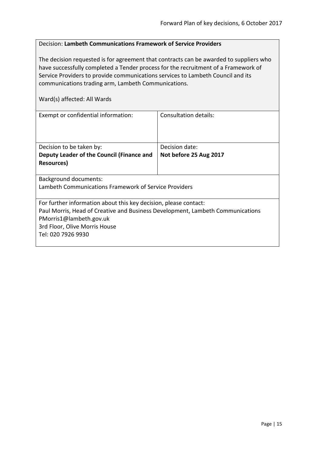## <span id="page-14-0"></span>Decision: **Lambeth Communications Framework of Service Providers**

The decision requested is for agreement that contracts can be awarded to suppliers who have successfully completed a Tender process for the recruitment of a Framework of Service Providers to provide communications services to Lambeth Council and its communications trading arm, Lambeth Communications.

| Exempt or confidential information:                                            | Consultation details:  |  |
|--------------------------------------------------------------------------------|------------------------|--|
|                                                                                |                        |  |
|                                                                                |                        |  |
|                                                                                |                        |  |
| Decision to be taken by:                                                       | Decision date:         |  |
| Deputy Leader of the Council (Finance and                                      | Not before 25 Aug 2017 |  |
| Resources)                                                                     |                        |  |
|                                                                                |                        |  |
| Background documents:                                                          |                        |  |
| Lambeth Communications Framework of Service Providers                          |                        |  |
|                                                                                |                        |  |
| For further information about this key decision, please contact:               |                        |  |
| Paul Morris, Head of Creative and Business Development, Lambeth Communications |                        |  |
| PMorris1@lambeth.gov.uk                                                        |                        |  |
| 3rd Floor, Olive Morris House                                                  |                        |  |
| Tel: 020 7926 9930                                                             |                        |  |
|                                                                                |                        |  |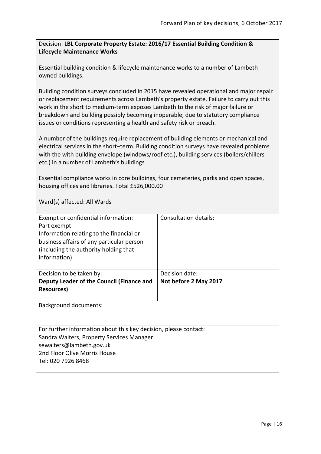<span id="page-15-0"></span>Decision: **LBL Corporate Property Estate: 2016/17 Essential Building Condition & Lifecycle Maintenance Works**

Essential building condition & lifecycle maintenance works to a number of Lambeth owned buildings.

Building condition surveys concluded in 2015 have revealed operational and major repair or replacement requirements across Lambeth's property estate. Failure to carry out this work in the short to medium-term exposes Lambeth to the risk of major failure or breakdown and building possibly becoming inoperable, due to statutory compliance issues or conditions representing a health and safety risk or breach.

A number of the buildings require replacement of building elements or mechanical and electrical services in the short–term. Building condition surveys have revealed problems with the with building envelope (windows/roof etc.), building services (boilers/chillers etc.) in a number of Lambeth's buildings

Essential compliance works in core buildings, four cemeteries, parks and open spaces, housing offices and libraries. Total £526,000.00

| Exempt or confidential information:<br>Part exempt<br>Information relating to the financial or<br>business affairs of any particular person<br>(including the authority holding that<br>information) | Consultation details: |
|------------------------------------------------------------------------------------------------------------------------------------------------------------------------------------------------------|-----------------------|
| Decision to be taken by:                                                                                                                                                                             | Decision date:        |
| Deputy Leader of the Council (Finance and                                                                                                                                                            | Not before 2 May 2017 |
| <b>Resources</b> )                                                                                                                                                                                   |                       |
|                                                                                                                                                                                                      |                       |
| Background documents:                                                                                                                                                                                |                       |
| For further information about this key decision, please contact:                                                                                                                                     |                       |
| Sandra Walters, Property Services Manager                                                                                                                                                            |                       |
| sewalters@lambeth.gov.uk                                                                                                                                                                             |                       |
| 2nd Floor Olive Morris House                                                                                                                                                                         |                       |
| Tel: 020 7926 8468                                                                                                                                                                                   |                       |
|                                                                                                                                                                                                      |                       |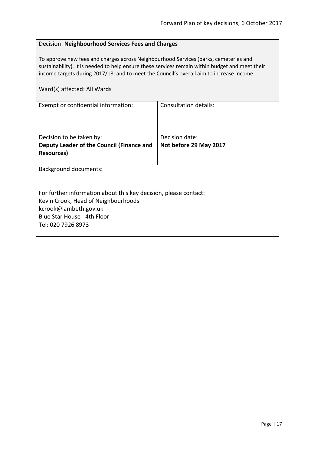## <span id="page-16-0"></span>Decision: **Neighbourhood Services Fees and Charges**

To approve new fees and charges across Neighbourhood Services (parks, cemeteries and sustainability). It is needed to help ensure these services remain within budget and meet their income targets during 2017/18; and to meet the Council's overall aim to increase income

| Consultation details:                                            |
|------------------------------------------------------------------|
|                                                                  |
|                                                                  |
|                                                                  |
| Decision date:                                                   |
| Not before 29 May 2017                                           |
|                                                                  |
|                                                                  |
|                                                                  |
|                                                                  |
|                                                                  |
| For further information about this key decision, please contact: |
|                                                                  |
|                                                                  |
|                                                                  |
|                                                                  |
|                                                                  |
|                                                                  |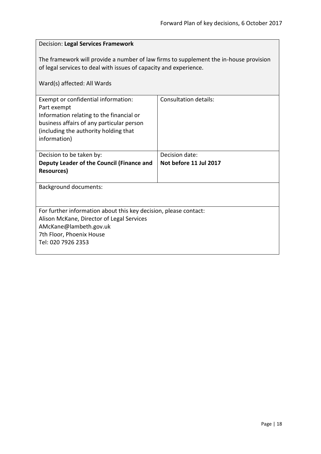## <span id="page-17-0"></span>Decision: **Legal Services Framework** The framework will provide a number of law firms to supplement the in-house provision of legal services to deal with issues of capacity and experience. Ward(s) affected: All Wards Exempt or confidential information: Part exempt Information relating to the financial or business affairs of any particular person (including the authority holding that information) Consultation details: Decision to be taken by: **Deputy Leader of the Council (Finance and Resources)** Decision date: **Not before 11 Jul 2017** Background documents: For further information about this key decision, please contact: Alison McKane, Director of Legal Services AMcKane@lambeth.gov.uk 7th Floor, Phoenix House Tel: 020 7926 2353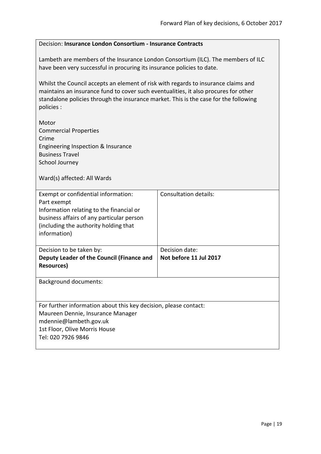## <span id="page-18-0"></span>Decision: **Insurance London Consortium - Insurance Contracts** Lambeth are members of the Insurance London Consortium (ILC). The members of ILC have been very successful in procuring its insurance policies to date. Whilst the Council accepts an element of risk with regards to insurance claims and maintains an insurance fund to cover such eventualities, it also procures for other standalone policies through the insurance market. This is the case for the following policies : Motor Commercial Properties Crime Engineering Inspection & Insurance Business Travel School Journey Ward(s) affected: All Wards Exempt or confidential information: Part exempt Information relating to the financial or business affairs of any particular person (including the authority holding that information) Consultation details: Decision to be taken by: **Deputy Leader of the Council (Finance and Resources)** Decision date: **Not before 11 Jul 2017** Background documents: For further information about this key decision, please contact: Maureen Dennie, Insurance Manager mdennie@lambeth.gov.uk 1st Floor, Olive Morris House Tel: 020 7926 9846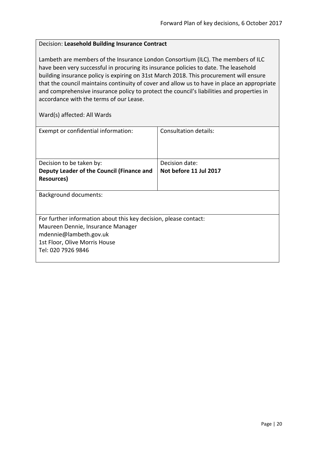## <span id="page-19-0"></span>Decision: **Leasehold Building Insurance Contract**

Lambeth are members of the Insurance London Consortium (ILC). The members of ILC have been very successful in procuring its insurance policies to date. The leasehold building insurance policy is expiring on 31st March 2018. This procurement will ensure that the council maintains continuity of cover and allow us to have in place an appropriate and comprehensive insurance policy to protect the council's liabilities and properties in accordance with the terms of our Lease.

| Exempt or confidential information:                              | Consultation details:  |
|------------------------------------------------------------------|------------------------|
|                                                                  |                        |
|                                                                  |                        |
| Decision to be taken by:                                         | Decision date:         |
| Deputy Leader of the Council (Finance and                        | Not before 11 Jul 2017 |
| Resources)                                                       |                        |
|                                                                  |                        |
| <b>Background documents:</b>                                     |                        |
|                                                                  |                        |
|                                                                  |                        |
| For further information about this key decision, please contact: |                        |
| Maureen Dennie, Insurance Manager                                |                        |
| mdennie@lambeth.gov.uk                                           |                        |
| 1st Floor, Olive Morris House                                    |                        |
| Tel: 020 7926 9846                                               |                        |
|                                                                  |                        |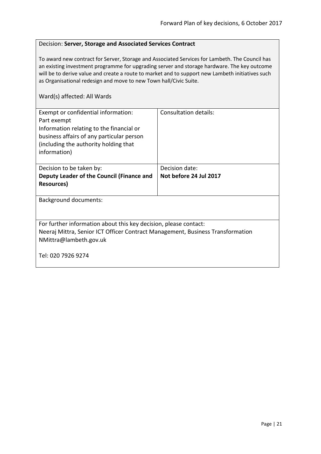## <span id="page-20-0"></span>Decision: **Server, Storage and Associated Services Contract**

To award new contract for Server, Storage and Associated Services for Lambeth. The Council has an existing investment programme for upgrading server and storage hardware. The key outcome will be to derive value and create a route to market and to support new Lambeth initiatives such as Organisational redesign and move to new Town hall/Civic Suite.

| Exempt or confidential information:<br>Part exempt<br>Information relating to the financial or<br>business affairs of any particular person<br>(including the authority holding that<br>information) | Consultation details:  |
|------------------------------------------------------------------------------------------------------------------------------------------------------------------------------------------------------|------------------------|
| Decision to be taken by:                                                                                                                                                                             | Decision date:         |
| Deputy Leader of the Council (Finance and                                                                                                                                                            | Not before 24 Jul 2017 |
| <b>Resources</b> )                                                                                                                                                                                   |                        |
| <b>Background documents:</b>                                                                                                                                                                         |                        |
| For further information about this key decision, please contact:<br>Neeraj Mittra, Senior ICT Officer Contract Management, Business Transformation<br>NMittra@lambeth.gov.uk                         |                        |
| Tel: 020 7926 9274                                                                                                                                                                                   |                        |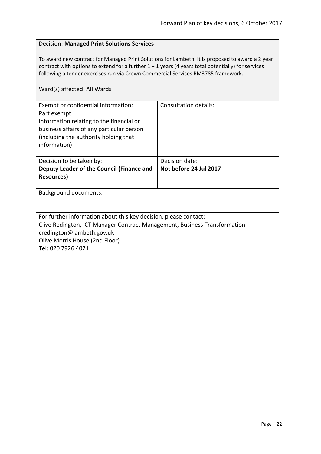## <span id="page-21-0"></span>Decision: **Managed Print Solutions Services**

To award new contract for Managed Print Solutions for Lambeth. It is proposed to award a 2 year contract with options to extend for a further 1 + 1 years (4 years total potentially) for services following a tender exercises run via Crown Commercial Services RM3785 framework.

| Exempt or confidential information:<br>Part exempt<br>Information relating to the financial or<br>business affairs of any particular person<br>(including the authority holding that<br>information)                               | Consultation details:  |
|------------------------------------------------------------------------------------------------------------------------------------------------------------------------------------------------------------------------------------|------------------------|
| Decision to be taken by:                                                                                                                                                                                                           | Decision date:         |
| Deputy Leader of the Council (Finance and                                                                                                                                                                                          | Not before 24 Jul 2017 |
| <b>Resources</b> )                                                                                                                                                                                                                 |                        |
| <b>Background documents:</b>                                                                                                                                                                                                       |                        |
|                                                                                                                                                                                                                                    |                        |
| For further information about this key decision, please contact:<br>Clive Redington, ICT Manager Contract Management, Business Transformation<br>credington@lambeth.gov.uk<br>Olive Morris House (2nd Floor)<br>Tel: 020 7926 4021 |                        |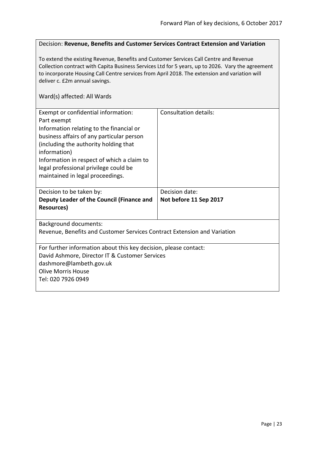### <span id="page-22-0"></span>Decision: **Revenue, Benefits and Customer Services Contract Extension and Variation**

To extend the existing Revenue, Benefits and Customer Services Call Centre and Revenue Collection contract with Capita Business Services Ltd for 5 years, up to 2026. Vary the agreement to incorporate Housing Call Centre services from April 2018. The extension and variation will deliver c. £2m annual savings.

| Exempt or confidential information:<br>Part exempt<br>Information relating to the financial or<br>business affairs of any particular person<br>(including the authority holding that<br>information)<br>Information in respect of which a claim to | <b>Consultation details:</b> |
|----------------------------------------------------------------------------------------------------------------------------------------------------------------------------------------------------------------------------------------------------|------------------------------|
| legal professional privilege could be                                                                                                                                                                                                              |                              |
| maintained in legal proceedings.                                                                                                                                                                                                                   |                              |
|                                                                                                                                                                                                                                                    |                              |
| Decision to be taken by:                                                                                                                                                                                                                           | Decision date:               |
| Deputy Leader of the Council (Finance and                                                                                                                                                                                                          | Not before 11 Sep 2017       |
| <b>Resources</b> )                                                                                                                                                                                                                                 |                              |
|                                                                                                                                                                                                                                                    |                              |
|                                                                                                                                                                                                                                                    |                              |
| <b>Background documents:</b>                                                                                                                                                                                                                       |                              |
| Revenue, Benefits and Customer Services Contract Extension and Variation                                                                                                                                                                           |                              |
|                                                                                                                                                                                                                                                    |                              |
| For further information about this key decision, please contact:                                                                                                                                                                                   |                              |
| David Ashmore, Director IT & Customer Services                                                                                                                                                                                                     |                              |
| dashmore@lambeth.gov.uk                                                                                                                                                                                                                            |                              |
| Olive Morris House                                                                                                                                                                                                                                 |                              |
|                                                                                                                                                                                                                                                    |                              |
| Tel: 020 7926 0949                                                                                                                                                                                                                                 |                              |
|                                                                                                                                                                                                                                                    |                              |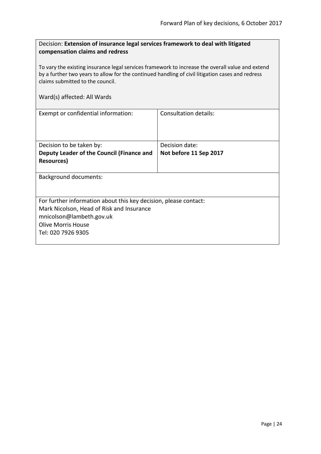<span id="page-23-0"></span>

| Decision: Extension of insurance legal services framework to deal with litigated |
|----------------------------------------------------------------------------------|
| compensation claims and redress                                                  |

To vary the existing insurance legal services framework to increase the overall value and extend by a further two years to allow for the continued handling of civil litigation cases and redress claims submitted to the council.

| Exempt or confidential information:                              | Consultation details:  |
|------------------------------------------------------------------|------------------------|
|                                                                  |                        |
|                                                                  |                        |
| Decision to be taken by:                                         | Decision date:         |
| Deputy Leader of the Council (Finance and                        | Not before 11 Sep 2017 |
| Resources)                                                       |                        |
|                                                                  |                        |
| <b>Background documents:</b>                                     |                        |
|                                                                  |                        |
|                                                                  |                        |
| For further information about this key decision, please contact: |                        |
| Mark Nicolson, Head of Risk and Insurance                        |                        |
| mnicolson@lambeth.gov.uk                                         |                        |
| <b>Olive Morris House</b>                                        |                        |
| Tel: 020 7926 9305                                               |                        |
|                                                                  |                        |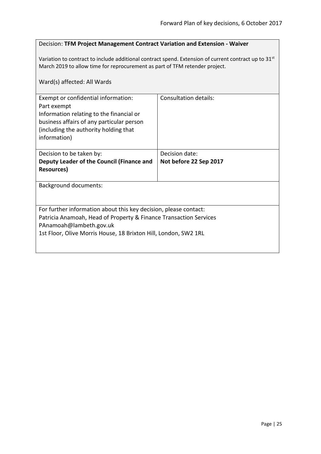## <span id="page-24-0"></span>Decision: **TFM Project Management Contract Variation and Extension - Waiver**

Variation to contract to include additional contract spend. Extension of current contract up to 31<sup>st</sup> March 2019 to allow time for reprocurement as part of TFM retender project.

| Ward(s) affected: All Wards                                                                                                                                                                                                         |                                          |
|-------------------------------------------------------------------------------------------------------------------------------------------------------------------------------------------------------------------------------------|------------------------------------------|
| Exempt or confidential information:<br>Part exempt<br>Information relating to the financial or<br>business affairs of any particular person<br>(including the authority holding that<br>information)                                | <b>Consultation details:</b>             |
| Decision to be taken by:<br>Deputy Leader of the Council (Finance and<br><b>Resources</b> )                                                                                                                                         | Decision date:<br>Not before 22 Sep 2017 |
| <b>Background documents:</b>                                                                                                                                                                                                        |                                          |
| For further information about this key decision, please contact:<br>Patricia Anamoah, Head of Property & Finance Transaction Services<br>PAnamoah@lambeth.gov.uk<br>1st Floor, Olive Morris House, 18 Brixton Hill, London, SW2 1RL |                                          |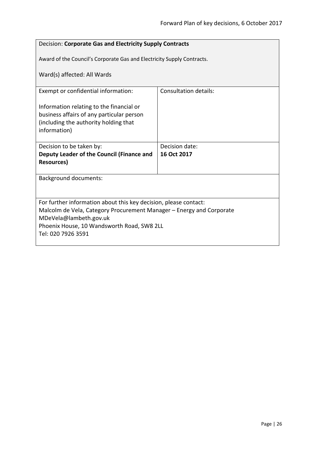<span id="page-25-0"></span>

| Decision: Corporate Gas and Electricity Supply Contracts                                                                                       |                              |  |
|------------------------------------------------------------------------------------------------------------------------------------------------|------------------------------|--|
| Award of the Council's Corporate Gas and Electricity Supply Contracts.                                                                         |                              |  |
| Ward(s) affected: All Wards                                                                                                                    |                              |  |
| Exempt or confidential information:                                                                                                            | <b>Consultation details:</b> |  |
| Information relating to the financial or<br>business affairs of any particular person<br>(including the authority holding that<br>information) |                              |  |
| Decision to be taken by:                                                                                                                       | Decision date:               |  |
| Deputy Leader of the Council (Finance and<br><b>Resources</b> )                                                                                | 16 Oct 2017                  |  |
| <b>Background documents:</b>                                                                                                                   |                              |  |
|                                                                                                                                                |                              |  |
| For further information about this key decision, please contact:                                                                               |                              |  |
| Malcolm de Vela, Category Procurement Manager – Energy and Corporate<br>MDeVela@lambeth.gov.uk                                                 |                              |  |
| Phoenix House, 10 Wandsworth Road, SW8 2LL                                                                                                     |                              |  |
| Tel: 020 7926 3591                                                                                                                             |                              |  |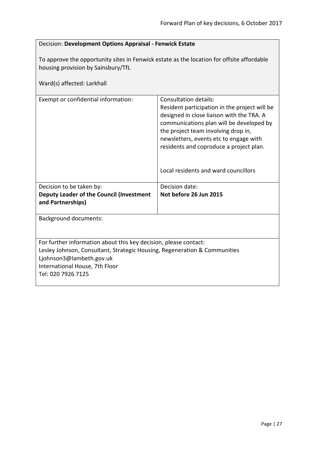<span id="page-26-0"></span>

| Decision: Development Options Appraisal - Fenwick Estate                                                                                                                                                                          |                                                                                                                                                                                                                                                                                                                                     |
|-----------------------------------------------------------------------------------------------------------------------------------------------------------------------------------------------------------------------------------|-------------------------------------------------------------------------------------------------------------------------------------------------------------------------------------------------------------------------------------------------------------------------------------------------------------------------------------|
| To approve the opportunity sites in Fenwick estate as the location for offsite affordable<br>housing provision by Sainsbury/TfL<br>Ward(s) affected: Larkhall                                                                     |                                                                                                                                                                                                                                                                                                                                     |
| Exempt or confidential information:                                                                                                                                                                                               | Consultation details:<br>Resident participation in the project will be<br>designed in close liaison with the TRA. A<br>communications plan will be developed by<br>the project team involving drop in,<br>newsletters, events etc to engage with<br>residents and coproduce a project plan.<br>Local residents and ward councillors |
| Decision to be taken by:<br><b>Deputy Leader of the Council (Investment</b><br>and Partnerships)                                                                                                                                  | Decision date:<br>Not before 26 Jun 2015                                                                                                                                                                                                                                                                                            |
| <b>Background documents:</b>                                                                                                                                                                                                      |                                                                                                                                                                                                                                                                                                                                     |
| For further information about this key decision, please contact:<br>Lesley Johnson, Consultant, Strategic Housing, Regeneration & Communities<br>Ljohnson3@lambeth.gov.uk<br>International House, 7th Floor<br>Tel: 020 7926 7125 |                                                                                                                                                                                                                                                                                                                                     |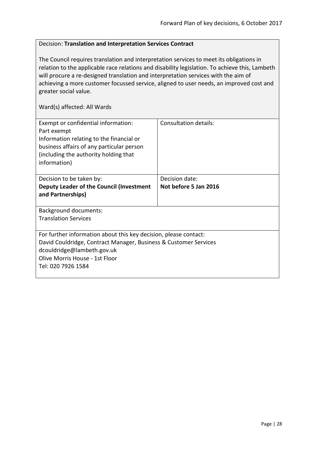## <span id="page-27-0"></span>Decision: **Translation and Interpretation Services Contract**

The Council requires translation and interpretation services to meet its obligations in relation to the applicable race relations and disability legislation. To achieve this, Lambeth will procure a re-designed translation and interpretation services with the aim of achieving a more customer focussed service, aligned to user needs, an improved cost and greater social value.

| Exempt or confidential information:<br>Part exempt<br>Information relating to the financial or<br>business affairs of any particular person<br>(including the authority holding that<br>information)                       | <b>Consultation details:</b>            |
|----------------------------------------------------------------------------------------------------------------------------------------------------------------------------------------------------------------------------|-----------------------------------------|
| Decision to be taken by:<br>Deputy Leader of the Council (Investment<br>and Partnerships)                                                                                                                                  | Decision date:<br>Not before 5 Jan 2016 |
| <b>Background documents:</b><br><b>Translation Services</b>                                                                                                                                                                |                                         |
| For further information about this key decision, please contact:<br>David Couldridge, Contract Manager, Business & Customer Services<br>dcouldridge@lambeth.gov.uk<br>Olive Morris House - 1st Floor<br>Tel: 020 7926 1584 |                                         |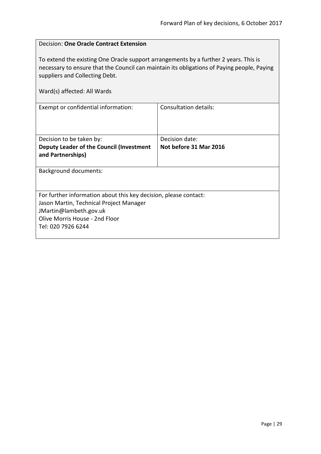<span id="page-28-0"></span>

| <b>Decision: One Oracle Contract Extension</b>                                                                                                                                                                                                      |                              |  |
|-----------------------------------------------------------------------------------------------------------------------------------------------------------------------------------------------------------------------------------------------------|------------------------------|--|
| To extend the existing One Oracle support arrangements by a further 2 years. This is<br>necessary to ensure that the Council can maintain its obligations of Paying people, Paying<br>suppliers and Collecting Debt.<br>Ward(s) affected: All Wards |                              |  |
| Exempt or confidential information:                                                                                                                                                                                                                 | <b>Consultation details:</b> |  |
|                                                                                                                                                                                                                                                     |                              |  |
| Decision date:<br>Decision to be taken by:                                                                                                                                                                                                          |                              |  |
| <b>Deputy Leader of the Council (Investment</b><br>and Partnerships)                                                                                                                                                                                | Not before 31 Mar 2016       |  |
| <b>Background documents:</b>                                                                                                                                                                                                                        |                              |  |
|                                                                                                                                                                                                                                                     |                              |  |
| For further information about this key decision, please contact:                                                                                                                                                                                    |                              |  |
| Jason Martin, Technical Project Manager                                                                                                                                                                                                             |                              |  |
| JMartin@lambeth.gov.uk                                                                                                                                                                                                                              |                              |  |
| Olive Morris House - 2nd Floor<br>Tel: 020 7926 6244                                                                                                                                                                                                |                              |  |
|                                                                                                                                                                                                                                                     |                              |  |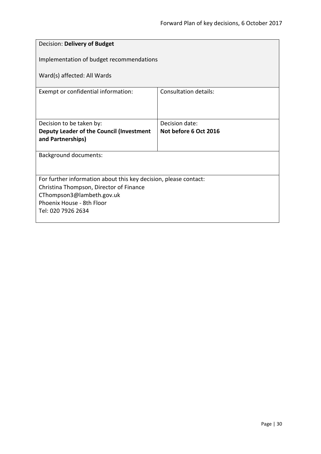<span id="page-29-0"></span>

| Decision: Delivery of Budget                                     |                       |
|------------------------------------------------------------------|-----------------------|
| Implementation of budget recommendations                         |                       |
| Ward(s) affected: All Wards                                      |                       |
| Exempt or confidential information:                              | Consultation details: |
|                                                                  |                       |
| Decision to be taken by:                                         | Decision date:        |
| Deputy Leader of the Council (Investment<br>and Partnerships)    | Not before 6 Oct 2016 |
|                                                                  |                       |
| <b>Background documents:</b>                                     |                       |
|                                                                  |                       |
| For further information about this key decision, please contact: |                       |
| Christina Thompson, Director of Finance                          |                       |
| CThompson3@lambeth.gov.uk                                        |                       |
| Phoenix House - 8th Floor                                        |                       |
| Tel: 020 7926 2634                                               |                       |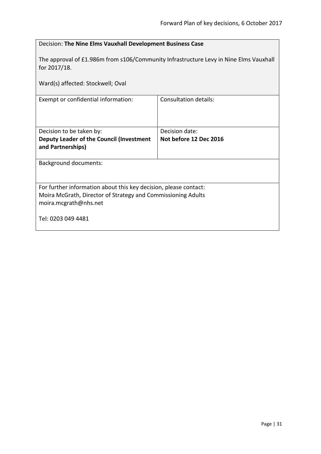<span id="page-30-0"></span>

| Decision: The Nine Elms Vauxhall Development Business Case                                                                                                |                              |
|-----------------------------------------------------------------------------------------------------------------------------------------------------------|------------------------------|
| The approval of £1.986m from s106/Community Infrastructure Levy in Nine Elms Vauxhall<br>for 2017/18.                                                     |                              |
| Ward(s) affected: Stockwell; Oval                                                                                                                         |                              |
| Exempt or confidential information:                                                                                                                       | <b>Consultation details:</b> |
| Decision to be taken by:                                                                                                                                  | Decision date:               |
| Deputy Leader of the Council (Investment<br>and Partnerships)                                                                                             | Not before 12 Dec 2016       |
| <b>Background documents:</b>                                                                                                                              |                              |
| For further information about this key decision, please contact:<br>Moira McGrath, Director of Strategy and Commissioning Adults<br>moira.mcgrath@nhs.net |                              |
| Tel: 0203 049 4481                                                                                                                                        |                              |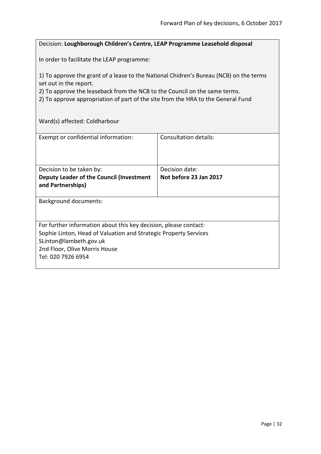## <span id="page-31-0"></span>Decision: **Loughborough Children's Centre, LEAP Programme Leasehold disposal**

In order to facilitate the LEAP programme:

1) To approve the grant of a lease to the National Chidren's Bureau (NCB) on the terms set out in the report.

2) To approve the leaseback from the NCB to the Council on the same terms.

2) To approve appropriation of part of the site from the HRA to the General Fund

Ward(s) affected: Coldharbour

| Exempt or confidential information:                                                                                                                                                                                   | Consultation details:                    |
|-----------------------------------------------------------------------------------------------------------------------------------------------------------------------------------------------------------------------|------------------------------------------|
| Decision to be taken by:<br>Deputy Leader of the Council (Investment<br>and Partnerships)                                                                                                                             | Decision date:<br>Not before 23 Jan 2017 |
| Background documents:                                                                                                                                                                                                 |                                          |
| For further information about this key decision, please contact:<br>Sophie Linton, Head of Valuation and Strategic Property Services<br>SLinton@lambeth.gov.uk<br>2nd Floor, Olive Morris House<br>Tel: 020 7926 6954 |                                          |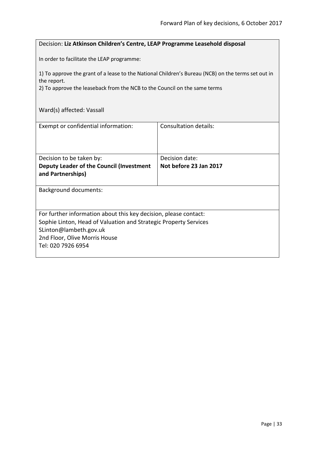## <span id="page-32-0"></span>Decision: **Liz Atkinson Children's Centre, LEAP Programme Leasehold disposal**

In order to facilitate the LEAP programme:

1) To approve the grant of a lease to the National Children's Bureau (NCB) on the terms set out in the report.

2) To approve the leaseback from the NCB to the Council on the same terms

| Ward(s) affected: Vassall |
|---------------------------|
|---------------------------|

| Exempt or confidential information:                              | Consultation details:  |
|------------------------------------------------------------------|------------------------|
| Decision to be taken by:                                         | Decision date:         |
| Deputy Leader of the Council (Investment<br>and Partnerships)    | Not before 23 Jan 2017 |
| <b>Background documents:</b>                                     |                        |
| For further information about this key decision, please contact: |                        |
| Sophie Linton, Head of Valuation and Strategic Property Services |                        |
| SLinton@lambeth.gov.uk                                           |                        |
| 2nd Floor, Olive Morris House                                    |                        |
| Tel: 020 7926 6954                                               |                        |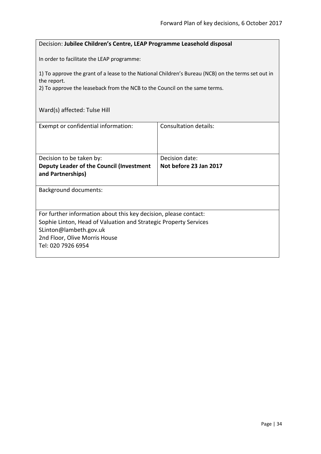## <span id="page-33-0"></span>Decision: **Jubilee Children's Centre, LEAP Programme Leasehold disposal**

In order to facilitate the LEAP programme:

1) To approve the grant of a lease to the National Children's Bureau (NCB) on the terms set out in the report.

2) To approve the leaseback from the NCB to the Council on the same terms.

| Ward(s) affected: Tulse Hill |
|------------------------------|
|------------------------------|

| Exempt or confidential information:                                                                                                                                                                                   | Consultation details:                    |
|-----------------------------------------------------------------------------------------------------------------------------------------------------------------------------------------------------------------------|------------------------------------------|
| Decision to be taken by:<br>Deputy Leader of the Council (Investment<br>and Partnerships)                                                                                                                             | Decision date:<br>Not before 23 Jan 2017 |
| <b>Background documents:</b>                                                                                                                                                                                          |                                          |
| For further information about this key decision, please contact:<br>Sophie Linton, Head of Valuation and Strategic Property Services<br>SLinton@lambeth.gov.uk<br>2nd Floor, Olive Morris House<br>Tel: 020 7926 6954 |                                          |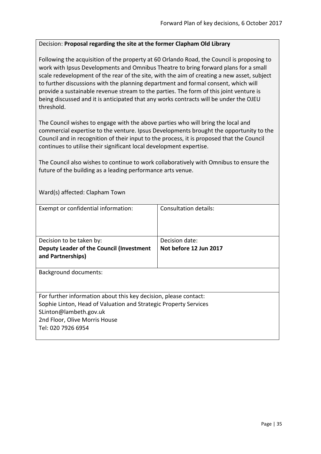## <span id="page-34-0"></span>Decision: **Proposal regarding the site at the former Clapham Old Library**

Following the acquisition of the property at 60 Orlando Road, the Council is proposing to work with Ipsus Developments and Omnibus Theatre to bring forward plans for a small scale redevelopment of the rear of the site, with the aim of creating a new asset, subject to further discussions with the planning department and formal consent, which will provide a sustainable revenue stream to the parties. The form of this joint venture is being discussed and it is anticipated that any works contracts will be under the OJEU threshold.

The Council wishes to engage with the above parties who will bring the local and commercial expertise to the venture. Ipsus Developments brought the opportunity to the Council and in recognition of their input to the process, it is proposed that the Council continues to utilise their significant local development expertise.

The Council also wishes to continue to work collaboratively with Omnibus to ensure the future of the building as a leading performance arts venue.

Ward(s) affected: Clapham Town

| Exempt or confidential information:                                                                                                                                                                                   | Consultation details:                    |
|-----------------------------------------------------------------------------------------------------------------------------------------------------------------------------------------------------------------------|------------------------------------------|
| Decision to be taken by:<br>Deputy Leader of the Council (Investment<br>and Partnerships)                                                                                                                             | Decision date:<br>Not before 12 Jun 2017 |
| <b>Background documents:</b>                                                                                                                                                                                          |                                          |
| For further information about this key decision, please contact:<br>Sophie Linton, Head of Valuation and Strategic Property Services<br>SLinton@lambeth.gov.uk<br>2nd Floor, Olive Morris House<br>Tel: 020 7926 6954 |                                          |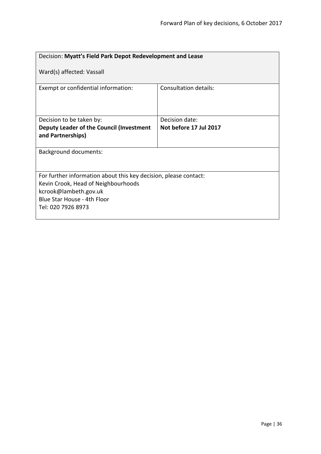<span id="page-35-0"></span>

| Decision: Myatt's Field Park Depot Redevelopment and Lease                                                                                                                            |                        |
|---------------------------------------------------------------------------------------------------------------------------------------------------------------------------------------|------------------------|
| Ward(s) affected: Vassall                                                                                                                                                             |                        |
| Exempt or confidential information:                                                                                                                                                   | Consultation details:  |
| Decision to be taken by:                                                                                                                                                              | Decision date:         |
| Deputy Leader of the Council (Investment<br>and Partnerships)                                                                                                                         | Not before 17 Jul 2017 |
| <b>Background documents:</b>                                                                                                                                                          |                        |
| For further information about this key decision, please contact:<br>Kevin Crook, Head of Neighbourhoods<br>kcrook@lambeth.gov.uk<br>Blue Star House - 4th Floor<br>Tel: 020 7926 8973 |                        |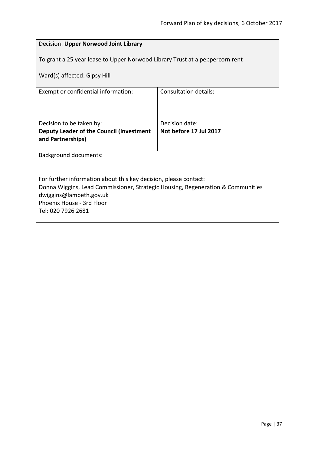| Decision: Upper Norwood Joint Library                                                                        |                        |  |
|--------------------------------------------------------------------------------------------------------------|------------------------|--|
| To grant a 25 year lease to Upper Norwood Library Trust at a peppercorn rent<br>Ward(s) affected: Gipsy Hill |                        |  |
| Exempt or confidential information:                                                                          | Consultation details:  |  |
|                                                                                                              |                        |  |
| Decision to be taken by:                                                                                     | Decision date:         |  |
| Deputy Leader of the Council (Investment                                                                     | Not before 17 Jul 2017 |  |
| and Partnerships)                                                                                            |                        |  |
| <b>Background documents:</b>                                                                                 |                        |  |
|                                                                                                              |                        |  |
| For further information about this key decision, please contact:                                             |                        |  |
| Donna Wiggins, Lead Commissioner, Strategic Housing, Regeneration & Communities                              |                        |  |
| dwiggins@lambeth.gov.uk<br>Phoenix House - 3rd Floor                                                         |                        |  |
| Tel: 020 7926 2681                                                                                           |                        |  |
|                                                                                                              |                        |  |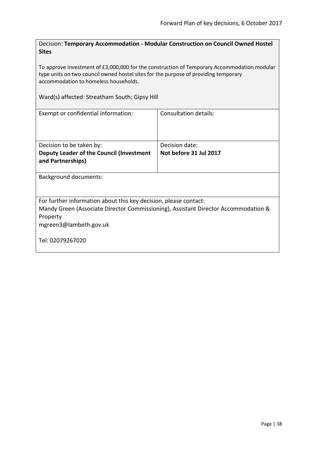Decision: **Temporary Accommodation - Modular Construction on Council Owned Hostel Sites**

To approve investment of £3,000,000 for the construction of Temporary Accommodation modular type units on two council owned hostel sites for the purpose of providing temporary accommodation to homeless households.

Ward(s) affected: Streatham South; Gipsy Hill

| Exempt or confidential information:                                                | Consultation details:  |  |
|------------------------------------------------------------------------------------|------------------------|--|
|                                                                                    |                        |  |
|                                                                                    |                        |  |
| Decision to be taken by:                                                           | Decision date:         |  |
| Deputy Leader of the Council (Investment                                           | Not before 31 Jul 2017 |  |
| and Partnerships)                                                                  |                        |  |
|                                                                                    |                        |  |
| <b>Background documents:</b>                                                       |                        |  |
|                                                                                    |                        |  |
|                                                                                    |                        |  |
| For further information about this key decision, please contact:                   |                        |  |
| Mandy Green (Associate Director Commissioning), Assistant Director Accommodation & |                        |  |
| Property                                                                           |                        |  |
| mgreen3@lambeth.gov.uk                                                             |                        |  |
|                                                                                    |                        |  |
| Tel: 02079267020                                                                   |                        |  |
|                                                                                    |                        |  |
|                                                                                    |                        |  |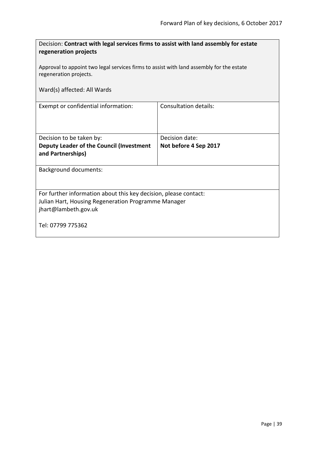| Decision: Contract with legal services firms to assist with land assembly for estate<br>regeneration projects<br>Approval to appoint two legal services firms to assist with land assembly for the estate |                              |  |
|-----------------------------------------------------------------------------------------------------------------------------------------------------------------------------------------------------------|------------------------------|--|
| regeneration projects.                                                                                                                                                                                    |                              |  |
| Ward(s) affected: All Wards                                                                                                                                                                               |                              |  |
| Exempt or confidential information:                                                                                                                                                                       | <b>Consultation details:</b> |  |
| Decision to be taken by:                                                                                                                                                                                  | Decision date:               |  |
| Deputy Leader of the Council (Investment<br>and Partnerships)                                                                                                                                             | Not before 4 Sep 2017        |  |
| <b>Background documents:</b>                                                                                                                                                                              |                              |  |
| For further information about this key decision, please contact:<br>Julian Hart, Housing Regeneration Programme Manager<br>jhart@lambeth.gov.uk                                                           |                              |  |
| Tel: 07799 775362                                                                                                                                                                                         |                              |  |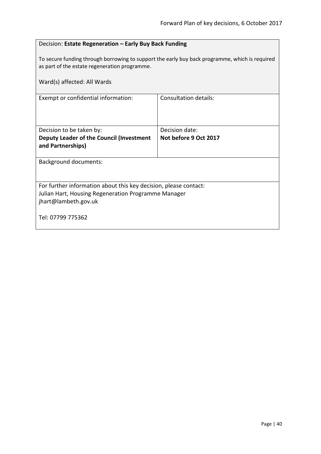| Decision: Estate Regeneration - Early Buy Back Funding                                                                                          |                       |  |
|-------------------------------------------------------------------------------------------------------------------------------------------------|-----------------------|--|
| To secure funding through borrowing to support the early buy back programme, which is required<br>as part of the estate regeneration programme. |                       |  |
| Ward(s) affected: All Wards                                                                                                                     |                       |  |
| Exempt or confidential information:                                                                                                             | Consultation details: |  |
|                                                                                                                                                 |                       |  |
| Decision to be taken by:                                                                                                                        | Decision date:        |  |
| Deputy Leader of the Council (Investment                                                                                                        | Not before 9 Oct 2017 |  |
| and Partnerships)                                                                                                                               |                       |  |
| <b>Background documents:</b>                                                                                                                    |                       |  |
|                                                                                                                                                 |                       |  |
| For further information about this key decision, please contact:                                                                                |                       |  |
| Julian Hart, Housing Regeneration Programme Manager                                                                                             |                       |  |
| jhart@lambeth.gov.uk                                                                                                                            |                       |  |
| Tel: 07799 775362                                                                                                                               |                       |  |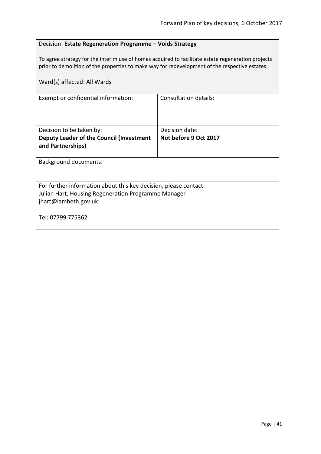### Decision: **Estate Regeneration Programme – Voids Strategy**

To agree strategy for the interim use of homes acquired to facilitate estate regeneration projects prior to demolition of the properties to make way for redevelopment of the respective estates.

| Ward(s) affected: All Wards                                                                                                                     |                       |  |
|-------------------------------------------------------------------------------------------------------------------------------------------------|-----------------------|--|
| Exempt or confidential information:                                                                                                             | Consultation details: |  |
| Decision to be taken by:                                                                                                                        | Decision date:        |  |
| Deputy Leader of the Council (Investment<br>and Partnerships)                                                                                   | Not before 9 Oct 2017 |  |
| Background documents:                                                                                                                           |                       |  |
| For further information about this key decision, please contact:<br>Julian Hart, Housing Regeneration Programme Manager<br>jhart@lambeth.gov.uk |                       |  |
| Tel: 07799 775362                                                                                                                               |                       |  |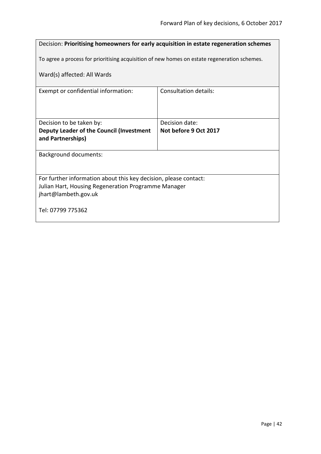| Decision: Prioritising homeowners for early acquisition in estate regeneration schemes                                                          |                                         |  |
|-------------------------------------------------------------------------------------------------------------------------------------------------|-----------------------------------------|--|
| To agree a process for prioritising acquisition of new homes on estate regeneration schemes.                                                    |                                         |  |
| Ward(s) affected: All Wards                                                                                                                     |                                         |  |
| Exempt or confidential information:                                                                                                             | <b>Consultation details:</b>            |  |
| Decision to be taken by:<br>Deputy Leader of the Council (Investment<br>and Partnerships)                                                       | Decision date:<br>Not before 9 Oct 2017 |  |
| <b>Background documents:</b>                                                                                                                    |                                         |  |
| For further information about this key decision, please contact:<br>Julian Hart, Housing Regeneration Programme Manager<br>jhart@lambeth.gov.uk |                                         |  |
| Tel: 07799 775362                                                                                                                               |                                         |  |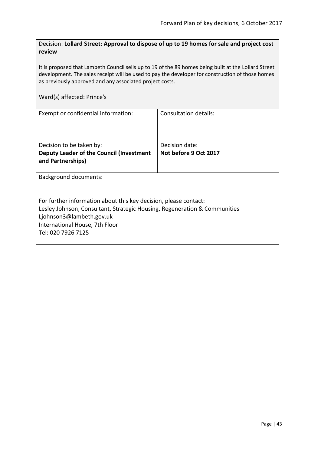Decision: **Lollard Street: Approval to dispose of up to 19 homes for sale and project cost review**

It is proposed that Lambeth Council sells up to 19 of the 89 homes being built at the Lollard Street development. The sales receipt will be used to pay the developer for construction of those homes as previously approved and any associated project costs.

### Ward(s) affected: Prince's

| Exempt or confidential information:                                       | Consultation details: |
|---------------------------------------------------------------------------|-----------------------|
| Decision to be taken by:                                                  | Decision date:        |
| Deputy Leader of the Council (Investment<br>and Partnerships)             | Not before 9 Oct 2017 |
| <b>Background documents:</b>                                              |                       |
| For further information about this key decision, please contact:          |                       |
| Lesley Johnson, Consultant, Strategic Housing, Regeneration & Communities |                       |
| Ljohnson3@lambeth.gov.uk                                                  |                       |
| International House, 7th Floor<br>Tel: 020 7926 7125                      |                       |
|                                                                           |                       |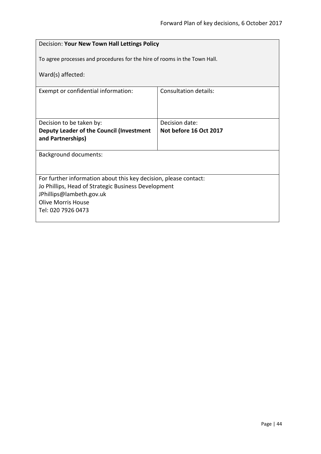|                                                                           | Decision: Your New Town Hall Lettings Policy |  |
|---------------------------------------------------------------------------|----------------------------------------------|--|
| To agree processes and procedures for the hire of rooms in the Town Hall. |                                              |  |
| Ward(s) affected:                                                         |                                              |  |
| Exempt or confidential information:                                       | Consultation details:                        |  |
|                                                                           |                                              |  |
| Decision date:<br>Decision to be taken by:                                |                                              |  |
| Deputy Leader of the Council (Investment<br>and Partnerships)             | Not before 16 Oct 2017                       |  |
| <b>Background documents:</b>                                              |                                              |  |
|                                                                           |                                              |  |
| For further information about this key decision, please contact:          |                                              |  |
| Jo Phillips, Head of Strategic Business Development                       |                                              |  |
| JPhillips@lambeth.gov.uk<br><b>Olive Morris House</b>                     |                                              |  |
| Tel: 020 7926 0473                                                        |                                              |  |
|                                                                           |                                              |  |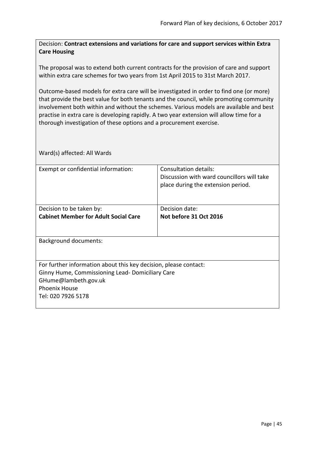Decision: **Contract extensions and variations for care and support services within Extra Care Housing**

The proposal was to extend both current contracts for the provision of care and support within extra care schemes for two years from 1st April 2015 to 31st March 2017.

Outcome-based models for extra care will be investigated in order to find one (or more) that provide the best value for both tenants and the council, while promoting community involvement both within and without the schemes. Various models are available and best practise in extra care is developing rapidly. A two year extension will allow time for a thorough investigation of these options and a procurement exercise.

| Exempt or confidential information:                              | Consultation details:<br>Discussion with ward councillors will take<br>place during the extension period. |
|------------------------------------------------------------------|-----------------------------------------------------------------------------------------------------------|
|                                                                  |                                                                                                           |
| Decision to be taken by:                                         | Decision date:                                                                                            |
| <b>Cabinet Member for Adult Social Care</b>                      | Not before 31 Oct 2016                                                                                    |
| <b>Background documents:</b>                                     |                                                                                                           |
| For further information about this key decision, please contact: |                                                                                                           |
| Ginny Hume, Commissioning Lead-Domiciliary Care                  |                                                                                                           |
| GHume@lambeth.gov.uk                                             |                                                                                                           |
| <b>Phoenix House</b>                                             |                                                                                                           |
| Tel: 020 7926 5178                                               |                                                                                                           |
|                                                                  |                                                                                                           |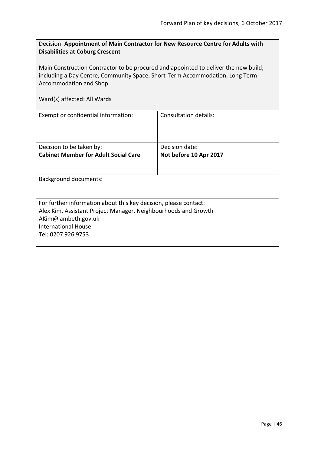| Decision: Appointment of Main Contractor for New Resource Centre for Adults with |
|----------------------------------------------------------------------------------|
| <b>Disabilities at Coburg Crescent</b>                                           |

Main Construction Contractor to be procured and appointed to deliver the new build, including a Day Centre, Community Space, Short-Term Accommodation, Long Term Accommodation and Shop.

| Exempt or confidential information:                              | Consultation details:  |
|------------------------------------------------------------------|------------------------|
| Decision to be taken by:                                         | Decision date:         |
| <b>Cabinet Member for Adult Social Care</b>                      | Not before 10 Apr 2017 |
|                                                                  |                        |
| <b>Background documents:</b>                                     |                        |
|                                                                  |                        |
| For further information about this key decision, please contact: |                        |
| Alex Kim, Assistant Project Manager, Neighbourhoods and Growth   |                        |
| AKim@lambeth.gov.uk                                              |                        |
| International House                                              |                        |
| Tel: 0207 926 9753                                               |                        |
|                                                                  |                        |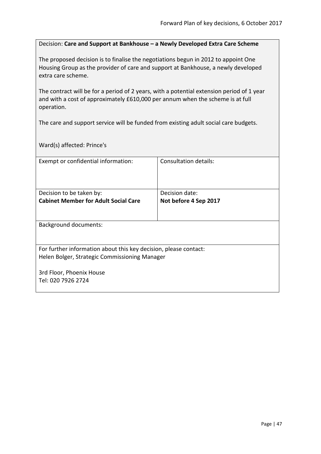## Decision: **Care and Support at Bankhouse – a Newly Developed Extra Care Scheme**

The proposed decision is to finalise the negotiations begun in 2012 to appoint One Housing Group as the provider of care and support at Bankhouse, a newly developed extra care scheme.

The contract will be for a period of 2 years, with a potential extension period of 1 year and with a cost of approximately £610,000 per annum when the scheme is at full operation.

The care and support service will be funded from existing adult social care budgets.

Ward(s) affected: Prince's

| Exempt or confidential information:                              | Consultation details: |
|------------------------------------------------------------------|-----------------------|
|                                                                  |                       |
|                                                                  |                       |
| Decision to be taken by:                                         | Decision date:        |
| <b>Cabinet Member for Adult Social Care</b>                      | Not before 4 Sep 2017 |
|                                                                  |                       |
|                                                                  |                       |
| <b>Background documents:</b>                                     |                       |
|                                                                  |                       |
| For further information about this key decision, please contact: |                       |
| Helen Bolger, Strategic Commissioning Manager                    |                       |
|                                                                  |                       |
| 3rd Floor, Phoenix House                                         |                       |
| Tel: 020 7926 2724                                               |                       |
|                                                                  |                       |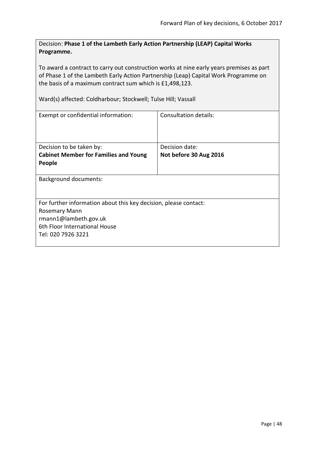Decision: **Phase 1 of the Lambeth Early Action Partnership (LEAP) Capital Works Programme.**

To award a contract to carry out construction works at nine early years premises as part of Phase 1 of the Lambeth Early Action Partnership (Leap) Capital Work Programme on the basis of a maximum contract sum which is £1,498,123.

Ward(s) affected: Coldharbour; Stockwell; Tulse Hill; Vassall

| Consultation details:                                            |  |  |
|------------------------------------------------------------------|--|--|
|                                                                  |  |  |
| Decision date:                                                   |  |  |
| Not before 30 Aug 2016                                           |  |  |
|                                                                  |  |  |
| <b>Background documents:</b>                                     |  |  |
| For further information about this key decision, please contact: |  |  |
| Rosemary Mann                                                    |  |  |
|                                                                  |  |  |
|                                                                  |  |  |
|                                                                  |  |  |
|                                                                  |  |  |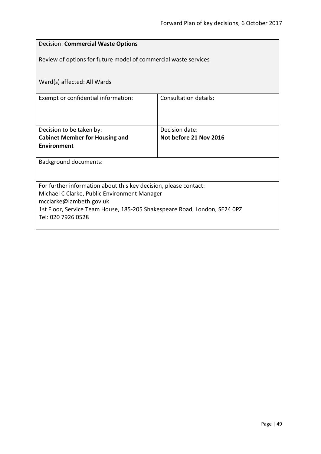| <b>Decision: Commercial Waste Options</b>                                                            |                              |  |
|------------------------------------------------------------------------------------------------------|------------------------------|--|
| Review of options for future model of commercial waste services                                      |                              |  |
| Ward(s) affected: All Wards                                                                          |                              |  |
| Exempt or confidential information:                                                                  | <b>Consultation details:</b> |  |
|                                                                                                      |                              |  |
| Decision to be taken by:                                                                             | Decision date:               |  |
| <b>Cabinet Member for Housing and</b>                                                                | Not before 21 Nov 2016       |  |
| <b>Environment</b>                                                                                   |                              |  |
| <b>Background documents:</b>                                                                         |                              |  |
|                                                                                                      |                              |  |
| For further information about this key decision, please contact:                                     |                              |  |
| Michael C Clarke, Public Environment Manager                                                         |                              |  |
| mcclarke@lambeth.gov.uk<br>1st Floor, Service Team House, 185-205 Shakespeare Road, London, SE24 0PZ |                              |  |
| Tel: 020 7926 0528                                                                                   |                              |  |
|                                                                                                      |                              |  |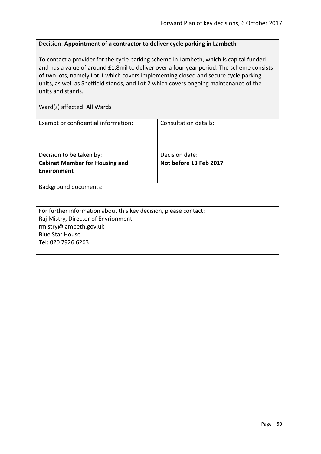### Decision: **Appointment of a contractor to deliver cycle parking in Lambeth**

To contact a provider for the cycle parking scheme in Lambeth, which is capital funded and has a value of around £1.8mil to deliver over a four year period. The scheme consists of two lots, namely Lot 1 which covers implementing closed and secure cycle parking units, as well as Sheffield stands, and Lot 2 which covers ongoing maintenance of the units and stands.

| Exempt or confidential information:                              | Consultation details:  |
|------------------------------------------------------------------|------------------------|
| Decision to be taken by:                                         | Decision date:         |
| <b>Cabinet Member for Housing and</b>                            | Not before 13 Feb 2017 |
| Environment                                                      |                        |
| <b>Background documents:</b>                                     |                        |
| For further information about this key decision, please contact: |                        |
| Raj Mistry, Director of Envrionment                              |                        |
| rmistry@lambeth.gov.uk                                           |                        |
| <b>Blue Star House</b>                                           |                        |
| Tel: 020 7926 6263                                               |                        |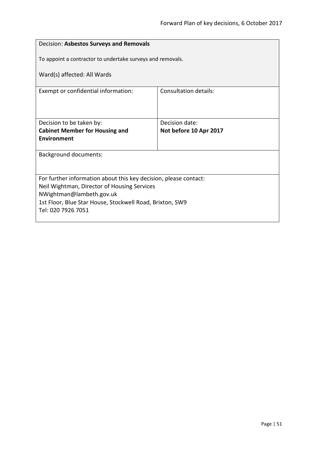| Decision: Asbestos Surveys and Removals                                              |                                          |  |
|--------------------------------------------------------------------------------------|------------------------------------------|--|
| To appoint a contractor to undertake surveys and removals.                           |                                          |  |
| Ward(s) affected: All Wards                                                          |                                          |  |
| Exempt or confidential information:                                                  | Consultation details:                    |  |
|                                                                                      |                                          |  |
| Decision to be taken by:<br><b>Cabinet Member for Housing and</b>                    | Decision date:<br>Not before 10 Apr 2017 |  |
| <b>Fnvironment</b>                                                                   |                                          |  |
| <b>Background documents:</b>                                                         |                                          |  |
|                                                                                      |                                          |  |
| For further information about this key decision, please contact:                     |                                          |  |
| Neil Wightman, Director of Housing Services                                          |                                          |  |
| NWightman@lambeth.gov.uk<br>1st Floor, Blue Star House, Stockwell Road, Brixton, SW9 |                                          |  |
| Tel: 020 7926 7051                                                                   |                                          |  |
|                                                                                      |                                          |  |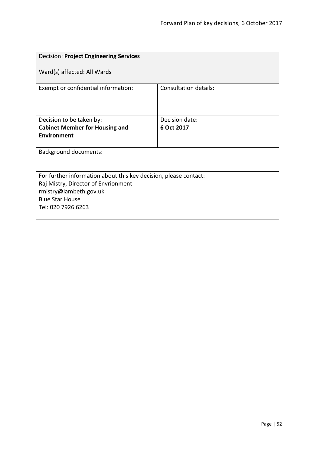| <b>Decision: Project Engineering Services</b>                                                                                                                                     |                              |  |
|-----------------------------------------------------------------------------------------------------------------------------------------------------------------------------------|------------------------------|--|
| Ward(s) affected: All Wards                                                                                                                                                       |                              |  |
| Exempt or confidential information:                                                                                                                                               | <b>Consultation details:</b> |  |
| Decision to be taken by:                                                                                                                                                          | Decision date:               |  |
| <b>Cabinet Member for Housing and</b>                                                                                                                                             | 6 Oct 2017                   |  |
| <b>Environment</b>                                                                                                                                                                |                              |  |
| <b>Background documents:</b>                                                                                                                                                      |                              |  |
| For further information about this key decision, please contact:<br>Raj Mistry, Director of Envrionment<br>rmistry@lambeth.gov.uk<br><b>Blue Star House</b><br>Tel: 020 7926 6263 |                              |  |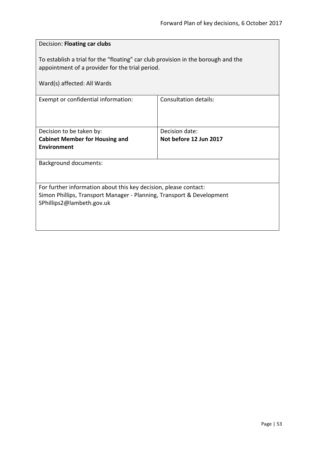| Decision: Floating car clubs                                                                                                                                           |                        |  |
|------------------------------------------------------------------------------------------------------------------------------------------------------------------------|------------------------|--|
| To establish a trial for the "floating" car club provision in the borough and the<br>appointment of a provider for the trial period.                                   |                        |  |
| Ward(s) affected: All Wards                                                                                                                                            |                        |  |
| Exempt or confidential information:                                                                                                                                    | Consultation details:  |  |
| Decision to be taken by:                                                                                                                                               | Decision date:         |  |
| <b>Cabinet Member for Housing and</b><br><b>Environment</b>                                                                                                            | Not before 12 Jun 2017 |  |
| <b>Background documents:</b>                                                                                                                                           |                        |  |
| For further information about this key decision, please contact:<br>Simon Phillips, Transport Manager - Planning, Transport & Development<br>SPhillips2@lambeth.gov.uk |                        |  |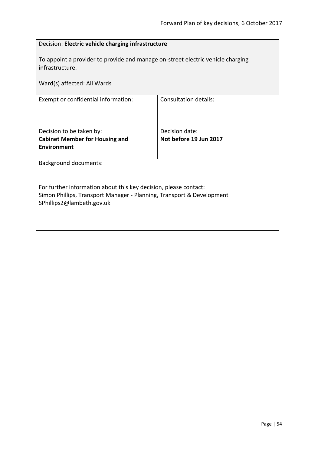| Decision: Electric vehicle charging infrastructure                                                                                                                     |                              |  |
|------------------------------------------------------------------------------------------------------------------------------------------------------------------------|------------------------------|--|
| To appoint a provider to provide and manage on-street electric vehicle charging<br>infrastructure.                                                                     |                              |  |
| Ward(s) affected: All Wards                                                                                                                                            |                              |  |
| Exempt or confidential information:                                                                                                                                    | <b>Consultation details:</b> |  |
| Decision to be taken by:                                                                                                                                               | Decision date:               |  |
| <b>Cabinet Member for Housing and</b>                                                                                                                                  | Not before 19 Jun 2017       |  |
| <b>Environment</b>                                                                                                                                                     |                              |  |
| <b>Background documents:</b>                                                                                                                                           |                              |  |
| For further information about this key decision, please contact:<br>Simon Phillips, Transport Manager - Planning, Transport & Development<br>SPhillips2@lambeth.gov.uk |                              |  |
|                                                                                                                                                                        |                              |  |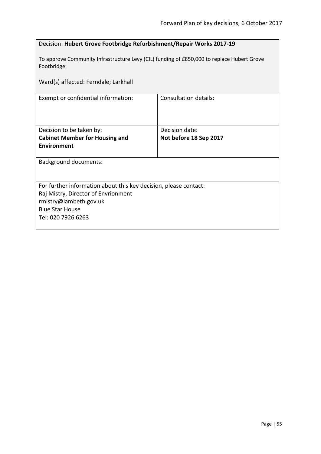| Decision: Hubert Grove Footbridge Refurbishment/Repair Works 2017-19                                      |                        |  |
|-----------------------------------------------------------------------------------------------------------|------------------------|--|
| To approve Community Infrastructure Levy (CIL) funding of £850,000 to replace Hubert Grove<br>Footbridge. |                        |  |
| Ward(s) affected: Ferndale; Larkhall                                                                      |                        |  |
| Exempt or confidential information:                                                                       | Consultation details:  |  |
|                                                                                                           |                        |  |
| Decision to be taken by:                                                                                  | Decision date:         |  |
| <b>Cabinet Member for Housing and</b>                                                                     | Not before 18 Sep 2017 |  |
| <b>Environment</b>                                                                                        |                        |  |
| <b>Background documents:</b>                                                                              |                        |  |
|                                                                                                           |                        |  |
| For further information about this key decision, please contact:                                          |                        |  |
| Raj Mistry, Director of Envrionment                                                                       |                        |  |
| rmistry@lambeth.gov.uk                                                                                    |                        |  |
| <b>Blue Star House</b>                                                                                    |                        |  |
| Tel: 020 7926 6263                                                                                        |                        |  |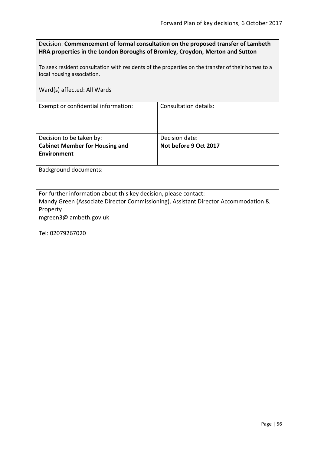| Decision: Commencement of formal consultation on the proposed transfer of Lambeth |
|-----------------------------------------------------------------------------------|
| HRA properties in the London Boroughs of Bromley, Croydon, Merton and Sutton      |

To seek resident consultation with residents of the properties on the transfer of their homes to a local housing association.

Ward(s) affected: All Wards

Exempt or confidential information: Consultation details:

| Decision to be taken by:              | Decision date:        |
|---------------------------------------|-----------------------|
| <b>Cabinet Member for Housing and</b> | Not before 9 Oct 2017 |
| Environment                           |                       |
|                                       |                       |

Background documents:

For further information about this key decision, please contact:

Mandy Green (Associate Director Commissioning), Assistant Director Accommodation & Property

mgreen3@lambeth.gov.uk

Tel: 02079267020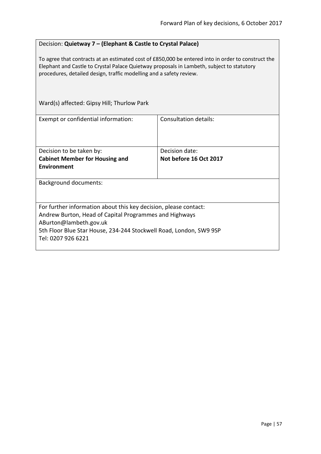# Decision: **Quietway 7 – (Elephant & Castle to Crystal Palace)**

To agree that contracts at an estimated cost of £850,000 be entered into in order to construct the Elephant and Castle to Crystal Palace Quietway proposals in Lambeth, subject to statutory procedures, detailed design, traffic modelling and a safety review.

| Ward(s) affected: Gipsy Hill; Thurlow Park                                                                                                                                                                                                       |                        |  |
|--------------------------------------------------------------------------------------------------------------------------------------------------------------------------------------------------------------------------------------------------|------------------------|--|
| Exempt or confidential information:                                                                                                                                                                                                              | Consultation details:  |  |
| Decision to be taken by:                                                                                                                                                                                                                         | Decision date:         |  |
| <b>Cabinet Member for Housing and</b>                                                                                                                                                                                                            | Not before 16 Oct 2017 |  |
| Environment                                                                                                                                                                                                                                      |                        |  |
| <b>Background documents:</b>                                                                                                                                                                                                                     |                        |  |
| For further information about this key decision, please contact:<br>Andrew Burton, Head of Capital Programmes and Highways<br>ABurton@lambeth.gov.uk<br>5th Floor Blue Star House, 234-244 Stockwell Road, London, SW9 9SP<br>Tel: 0207 926 6221 |                        |  |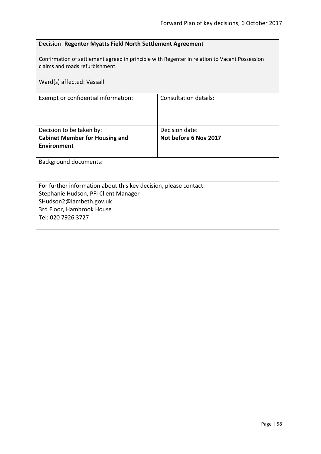| Decision: Regenter Myatts Field North Settlement Agreement                                                                       |                              |  |
|----------------------------------------------------------------------------------------------------------------------------------|------------------------------|--|
| Confirmation of settlement agreed in principle with Regenter in relation to Vacant Possession<br>claims and roads refurbishment. |                              |  |
| Ward(s) affected: Vassall                                                                                                        |                              |  |
| Exempt or confidential information:                                                                                              | <b>Consultation details:</b> |  |
|                                                                                                                                  |                              |  |
| Decision to be taken by:                                                                                                         | Decision date:               |  |
| <b>Cabinet Member for Housing and</b>                                                                                            | Not before 6 Nov 2017        |  |
| Environment                                                                                                                      |                              |  |
| <b>Background documents:</b>                                                                                                     |                              |  |
|                                                                                                                                  |                              |  |
| For further information about this key decision, please contact:                                                                 |                              |  |
| Stephanie Hudson, PFI Client Manager                                                                                             |                              |  |
| SHudson2@lambeth.gov.uk                                                                                                          |                              |  |
| 3rd Floor, Hambrook House<br>Tel: 020 7926 3727                                                                                  |                              |  |
|                                                                                                                                  |                              |  |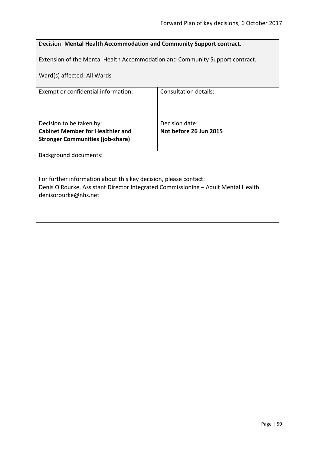| Decision: Mental Health Accommodation and Community Support contract.             |                        |  |
|-----------------------------------------------------------------------------------|------------------------|--|
|                                                                                   |                        |  |
| Extension of the Mental Health Accommodation and Community Support contract.      |                        |  |
| Ward(s) affected: All Wards                                                       |                        |  |
| Exempt or confidential information:                                               | Consultation details:  |  |
|                                                                                   |                        |  |
| Decision to be taken by:                                                          | Decision date:         |  |
| <b>Cabinet Member for Healthier and</b>                                           | Not before 26 Jun 2015 |  |
| <b>Stronger Communities (job-share)</b>                                           |                        |  |
| <b>Background documents:</b>                                                      |                        |  |
|                                                                                   |                        |  |
| For further information about this key decision, please contact:                  |                        |  |
| denisorourke@nhs.net                                                              |                        |  |
|                                                                                   |                        |  |
|                                                                                   |                        |  |
| Denis O'Rourke, Assistant Director Integrated Commissioning - Adult Mental Health |                        |  |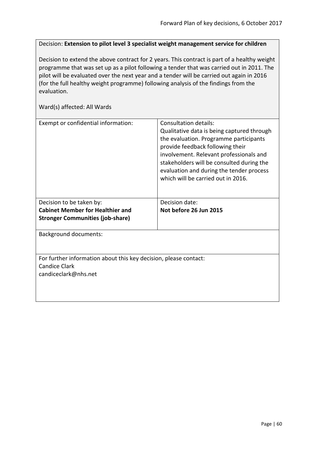Decision: **Extension to pilot level 3 specialist weight management service for children**

Decision to extend the above contract for 2 years. This contract is part of a healthy weight programme that was set up as a pilot following a tender that was carried out in 2011. The pilot will be evaluated over the next year and a tender will be carried out again in 2016 (for the full healthy weight programme) following analysis of the findings from the evaluation.

| Exempt or confidential information:                              | Consultation details:<br>Qualitative data is being captured through<br>the evaluation. Programme participants<br>provide feedback following their<br>involvement. Relevant professionals and<br>stakeholders will be consulted during the<br>evaluation and during the tender process<br>which will be carried out in 2016. |
|------------------------------------------------------------------|-----------------------------------------------------------------------------------------------------------------------------------------------------------------------------------------------------------------------------------------------------------------------------------------------------------------------------|
| Decision to be taken by:                                         | Decision date:                                                                                                                                                                                                                                                                                                              |
| <b>Cabinet Member for Healthier and</b>                          | Not before 26 Jun 2015                                                                                                                                                                                                                                                                                                      |
| <b>Stronger Communities (job-share)</b>                          |                                                                                                                                                                                                                                                                                                                             |
| <b>Background documents:</b>                                     |                                                                                                                                                                                                                                                                                                                             |
|                                                                  |                                                                                                                                                                                                                                                                                                                             |
| For further information about this key decision, please contact: |                                                                                                                                                                                                                                                                                                                             |
| <b>Candice Clark</b>                                             |                                                                                                                                                                                                                                                                                                                             |
| candiceclark@nhs.net                                             |                                                                                                                                                                                                                                                                                                                             |
|                                                                  |                                                                                                                                                                                                                                                                                                                             |
|                                                                  |                                                                                                                                                                                                                                                                                                                             |
|                                                                  |                                                                                                                                                                                                                                                                                                                             |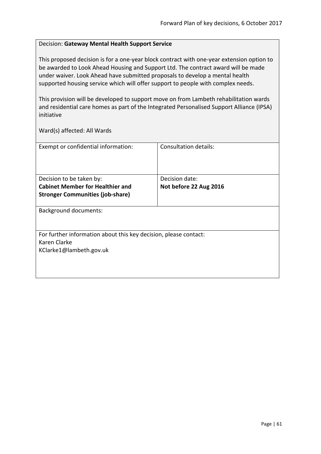# Decision: **Gateway Mental Health Support Service**

This proposed decision is for a one-year block contract with one-year extension option to be awarded to Look Ahead Housing and Support Ltd. The contract award will be made under waiver. Look Ahead have submitted proposals to develop a mental health supported housing service which will offer support to people with complex needs.

This provision will be developed to support move on from Lambeth rehabilitation wards and residential care homes as part of the Integrated Personalised Support Alliance (IPSA) initiative

| Exempt or confidential information:                              | Consultation details:  |  |
|------------------------------------------------------------------|------------------------|--|
|                                                                  |                        |  |
|                                                                  |                        |  |
|                                                                  |                        |  |
| Decision to be taken by:                                         | Decision date:         |  |
| <b>Cabinet Member for Healthier and</b>                          | Not before 22 Aug 2016 |  |
| <b>Stronger Communities (job-share)</b>                          |                        |  |
|                                                                  |                        |  |
| <b>Background documents:</b>                                     |                        |  |
|                                                                  |                        |  |
|                                                                  |                        |  |
| For further information about this key decision, please contact: |                        |  |
| Karen Clarke                                                     |                        |  |
| KClarke1@lambeth.gov.uk                                          |                        |  |
|                                                                  |                        |  |
|                                                                  |                        |  |
|                                                                  |                        |  |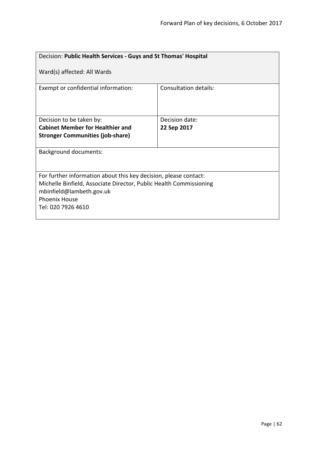| Decision: Public Health Services - Guys and St Thomas' Hospital                                                                                                                                                  |                       |  |
|------------------------------------------------------------------------------------------------------------------------------------------------------------------------------------------------------------------|-----------------------|--|
| Ward(s) affected: All Wards                                                                                                                                                                                      |                       |  |
| Exempt or confidential information:                                                                                                                                                                              | Consultation details: |  |
| Decision to be taken by:                                                                                                                                                                                         | Decision date:        |  |
| <b>Cabinet Member for Healthier and</b>                                                                                                                                                                          | 22 Sep 2017           |  |
| <b>Stronger Communities (job-share)</b>                                                                                                                                                                          |                       |  |
| <b>Background documents:</b>                                                                                                                                                                                     |                       |  |
| For further information about this key decision, please contact:<br>Michelle Binfield, Associate Director, Public Health Commissioning<br>mbinfield@lambeth.gov.uk<br><b>Phoenix House</b><br>Tel: 020 7926 4610 |                       |  |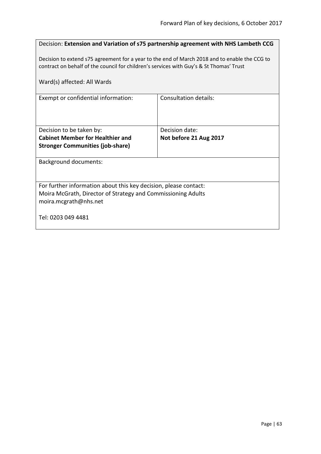| Decision: Extension and Variation of s75 partnership agreement with NHS Lambeth CCG                                                                                                      |                        |  |
|------------------------------------------------------------------------------------------------------------------------------------------------------------------------------------------|------------------------|--|
| Decision to extend s75 agreement for a year to the end of March 2018 and to enable the CCG to<br>contract on behalf of the council for children's services with Guy's & St Thomas' Trust |                        |  |
| Ward(s) affected: All Wards                                                                                                                                                              |                        |  |
| Exempt or confidential information:                                                                                                                                                      | Consultation details:  |  |
|                                                                                                                                                                                          |                        |  |
| Decision to be taken by:                                                                                                                                                                 | Decision date:         |  |
| <b>Cabinet Member for Healthier and</b>                                                                                                                                                  | Not before 21 Aug 2017 |  |
| <b>Stronger Communities (job-share)</b>                                                                                                                                                  |                        |  |
| <b>Background documents:</b>                                                                                                                                                             |                        |  |
|                                                                                                                                                                                          |                        |  |
| For further information about this key decision, please contact:                                                                                                                         |                        |  |
| Moira McGrath, Director of Strategy and Commissioning Adults                                                                                                                             |                        |  |
| moira.mcgrath@nhs.net                                                                                                                                                                    |                        |  |
| Tel: 0203 049 4481                                                                                                                                                                       |                        |  |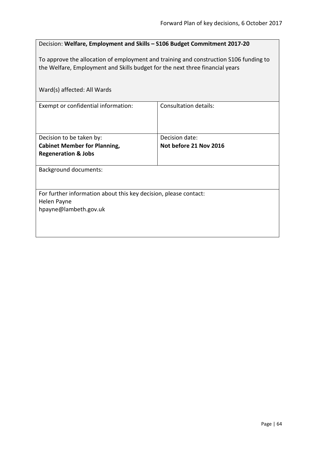| Decision: Welfare, Employment and Skills - S106 Budget Commitment 2017-20                                                                                             |                                          |  |
|-----------------------------------------------------------------------------------------------------------------------------------------------------------------------|------------------------------------------|--|
| To approve the allocation of employment and training and construction S106 funding to<br>the Welfare, Employment and Skills budget for the next three financial years |                                          |  |
| Ward(s) affected: All Wards                                                                                                                                           |                                          |  |
| Exempt or confidential information:                                                                                                                                   | <b>Consultation details:</b>             |  |
| Decision to be taken by:                                                                                                                                              | Decision date:<br>Not before 21 Nov 2016 |  |
| <b>Cabinet Member for Planning,</b><br><b>Regeneration &amp; Jobs</b>                                                                                                 |                                          |  |
| <b>Background documents:</b>                                                                                                                                          |                                          |  |
| For further information about this key decision, please contact:                                                                                                      |                                          |  |
| Helen Payne<br>hpayne@lambeth.gov.uk                                                                                                                                  |                                          |  |
|                                                                                                                                                                       |                                          |  |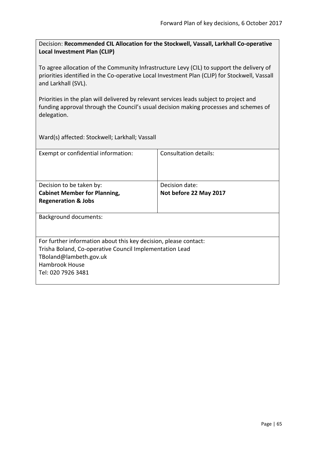Decision: **Recommended CIL Allocation for the Stockwell, Vassall, Larkhall Co-operative Local Investment Plan (CLIP)**

To agree allocation of the Community Infrastructure Levy (CIL) to support the delivery of priorities identified in the Co-operative Local Investment Plan (CLIP) for Stockwell, Vassall and Larkhall (SVL).

Priorities in the plan will delivered by relevant services leads subject to project and funding approval through the Council's usual decision making processes and schemes of delegation.

Ward(s) affected: Stockwell; Larkhall; Vassall

| Exempt or confidential information:                              | Consultation details:  |
|------------------------------------------------------------------|------------------------|
|                                                                  |                        |
| Decision to be taken by:                                         | Decision date:         |
| <b>Cabinet Member for Planning,</b>                              | Not before 22 May 2017 |
| <b>Regeneration &amp; Jobs</b>                                   |                        |
| <b>Background documents:</b>                                     |                        |
| For further information about this key decision, please contact: |                        |
| Trisha Boland, Co-operative Council Implementation Lead          |                        |
| TBoland@lambeth.gov.uk                                           |                        |
| <b>Hambrook House</b>                                            |                        |
| Tel: 020 7926 3481                                               |                        |
|                                                                  |                        |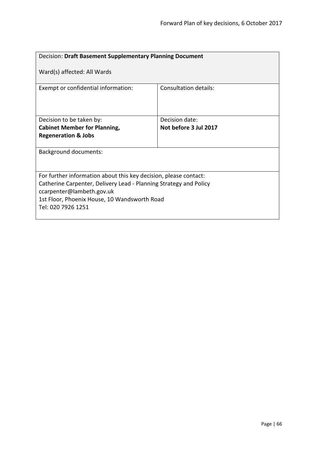| Decision: Draft Basement Supplementary Planning Document                                                                                                                                                                                 |                       |  |
|------------------------------------------------------------------------------------------------------------------------------------------------------------------------------------------------------------------------------------------|-----------------------|--|
| Ward(s) affected: All Wards                                                                                                                                                                                                              |                       |  |
| Exempt or confidential information:                                                                                                                                                                                                      | Consultation details: |  |
| Decision to be taken by:                                                                                                                                                                                                                 | Decision date:        |  |
| <b>Cabinet Member for Planning,</b>                                                                                                                                                                                                      | Not before 3 Jul 2017 |  |
| <b>Regeneration &amp; Jobs</b>                                                                                                                                                                                                           |                       |  |
| Background documents:                                                                                                                                                                                                                    |                       |  |
| For further information about this key decision, please contact:<br>Catherine Carpenter, Delivery Lead - Planning Strategy and Policy<br>ccarpenter@lambeth.gov.uk<br>1st Floor, Phoenix House, 10 Wandsworth Road<br>Tel: 020 7926 1251 |                       |  |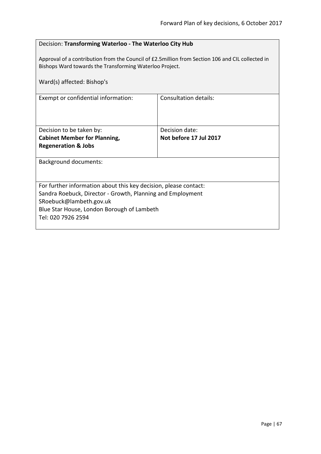|  | Decision: Transforming Waterloo - The Waterloo City Hub |  |  |  |
|--|---------------------------------------------------------|--|--|--|
|--|---------------------------------------------------------|--|--|--|

Approval of a contribution from the Council of £2.5million from Section 106 and CIL collected in Bishops Ward towards the Transforming Waterloo Project.

| Ward(s) affected: Bishop's                                       |                        |  |
|------------------------------------------------------------------|------------------------|--|
| Exempt or confidential information:                              | Consultation details:  |  |
| Decision to be taken by:                                         | Decision date:         |  |
| <b>Cabinet Member for Planning,</b>                              | Not before 17 Jul 2017 |  |
| <b>Regeneration &amp; Jobs</b>                                   |                        |  |
| <b>Background documents:</b>                                     |                        |  |
| For further information about this key decision, please contact: |                        |  |
| Sandra Roebuck, Director - Growth, Planning and Employment       |                        |  |
| SRoebuck@lambeth.gov.uk                                          |                        |  |
| Blue Star House, London Borough of Lambeth                       |                        |  |
| Tel: 020 7926 2594                                               |                        |  |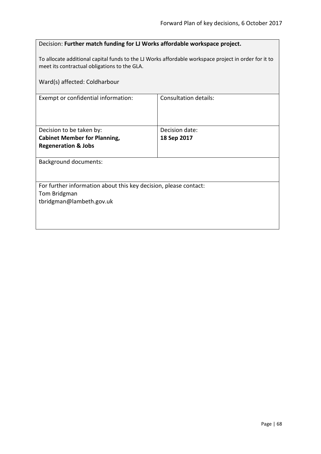| Decision: Further match funding for LJ Works affordable workspace project.                                                                           |                              |  |
|------------------------------------------------------------------------------------------------------------------------------------------------------|------------------------------|--|
| To allocate additional capital funds to the LJ Works affordable workspace project in order for it to<br>meet its contractual obligations to the GLA. |                              |  |
| Ward(s) affected: Coldharbour                                                                                                                        |                              |  |
| Exempt or confidential information:                                                                                                                  | <b>Consultation details:</b> |  |
|                                                                                                                                                      |                              |  |
| Decision to be taken by:                                                                                                                             | Decision date:               |  |
| <b>Cabinet Member for Planning,</b>                                                                                                                  | 18 Sep 2017                  |  |
| <b>Regeneration &amp; Jobs</b>                                                                                                                       |                              |  |
| <b>Background documents:</b>                                                                                                                         |                              |  |
|                                                                                                                                                      |                              |  |
| For further information about this key decision, please contact:                                                                                     |                              |  |
| Tom Bridgman                                                                                                                                         |                              |  |
| tbridgman@lambeth.gov.uk                                                                                                                             |                              |  |
|                                                                                                                                                      |                              |  |
|                                                                                                                                                      |                              |  |
|                                                                                                                                                      |                              |  |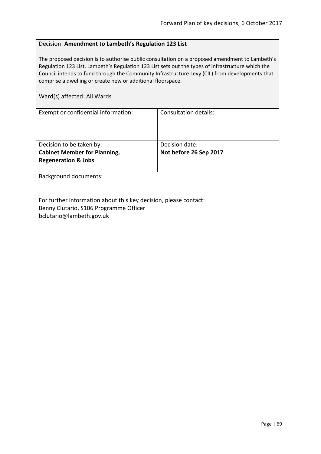### Decision: **Amendment to Lambeth's Regulation 123 List**

The proposed decision is to authorise public consultation on a proposed amendment to Lambeth's Regulation 123 List. Lambeth's Regulation 123 List sets out the types of infrastructure which the Council intends to fund through the Community Infrastructure Levy (CIL) from developments that comprise a dwelling or create new or additional floorspace.

| Exempt or confidential information:                              | Consultation details:  |  |
|------------------------------------------------------------------|------------------------|--|
|                                                                  |                        |  |
|                                                                  |                        |  |
| Decision to be taken by:                                         | Decision date:         |  |
| <b>Cabinet Member for Planning,</b>                              | Not before 26 Sep 2017 |  |
| <b>Regeneration &amp; Jobs</b>                                   |                        |  |
|                                                                  |                        |  |
| <b>Background documents:</b>                                     |                        |  |
|                                                                  |                        |  |
| For further information about this key decision, please contact: |                        |  |
| Benny Clutario, S106 Programme Officer                           |                        |  |
| bclutario@lambeth.gov.uk                                         |                        |  |
|                                                                  |                        |  |
|                                                                  |                        |  |
|                                                                  |                        |  |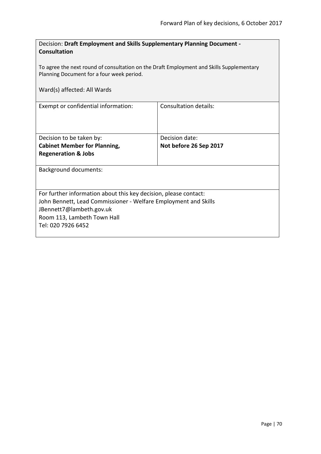| Decision: Draft Employment and Skills Supplementary Planning Document -<br><b>Consultation</b><br>To agree the next round of consultation on the Draft Employment and Skills Supplementary<br>Planning Document for a four week period. |                        |  |
|-----------------------------------------------------------------------------------------------------------------------------------------------------------------------------------------------------------------------------------------|------------------------|--|
| Ward(s) affected: All Wards                                                                                                                                                                                                             |                        |  |
| Exempt or confidential information:                                                                                                                                                                                                     | Consultation details:  |  |
| Decision to be taken by:                                                                                                                                                                                                                | Decision date:         |  |
| <b>Cabinet Member for Planning,</b>                                                                                                                                                                                                     | Not before 26 Sep 2017 |  |
| <b>Regeneration &amp; Jobs</b>                                                                                                                                                                                                          |                        |  |
| <b>Background documents:</b>                                                                                                                                                                                                            |                        |  |
| For further information about this key decision, please contact:<br>John Bennett, Lead Commissioner - Welfare Employment and Skills<br>JBennett7@lambeth.gov.uk<br>Room 113, Lambeth Town Hall<br>Tel: 020 7926 6452                    |                        |  |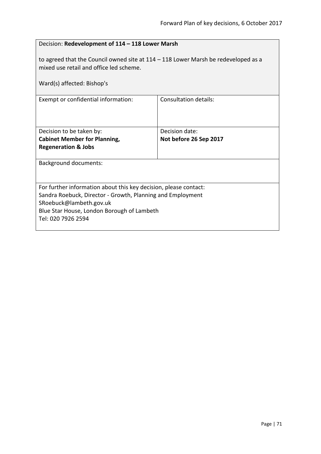| Decision: Redevelopment of 114 - 118 Lower Marsh                                                                                                                                                                              |                              |  |
|-------------------------------------------------------------------------------------------------------------------------------------------------------------------------------------------------------------------------------|------------------------------|--|
| to agreed that the Council owned site at $114 - 118$ Lower Marsh be redeveloped as a<br>mixed use retail and office led scheme.<br>Ward(s) affected: Bishop's                                                                 |                              |  |
| Exempt or confidential information:                                                                                                                                                                                           | <b>Consultation details:</b> |  |
| Decision to be taken by:                                                                                                                                                                                                      | Decision date:               |  |
| <b>Cabinet Member for Planning,</b>                                                                                                                                                                                           | Not before 26 Sep 2017       |  |
| <b>Regeneration &amp; Jobs</b>                                                                                                                                                                                                |                              |  |
| <b>Background documents:</b>                                                                                                                                                                                                  |                              |  |
| For further information about this key decision, please contact:<br>Sandra Roebuck, Director - Growth, Planning and Employment<br>SRoebuck@lambeth.gov.uk<br>Blue Star House, London Borough of Lambeth<br>Tel: 020 7926 2594 |                              |  |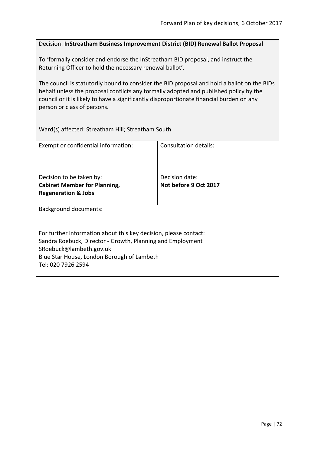## Decision: **InStreatham Business Improvement District (BID) Renewal Ballot Proposal**

To 'formally consider and endorse the InStreatham BID proposal, and instruct the Returning Officer to hold the necessary renewal ballot'.

The council is statutorily bound to consider the BID proposal and hold a ballot on the BIDs behalf unless the proposal conflicts any formally adopted and published policy by the council or it is likely to have a significantly disproportionate financial burden on any person or class of persons.

Ward(s) affected: Streatham Hill; Streatham South

| Exempt or confidential information:                              | Consultation details: |  |
|------------------------------------------------------------------|-----------------------|--|
| Decision to be taken by:                                         | Decision date:        |  |
| <b>Cabinet Member for Planning,</b>                              | Not before 9 Oct 2017 |  |
| <b>Regeneration &amp; Jobs</b>                                   |                       |  |
|                                                                  |                       |  |
| Background documents:                                            |                       |  |
| For further information about this key decision, please contact: |                       |  |
| Sandra Roebuck, Director - Growth, Planning and Employment       |                       |  |
| SRoebuck@lambeth.gov.uk                                          |                       |  |
| Blue Star House, London Borough of Lambeth                       |                       |  |
| Tel: 020 7926 2594                                               |                       |  |
|                                                                  |                       |  |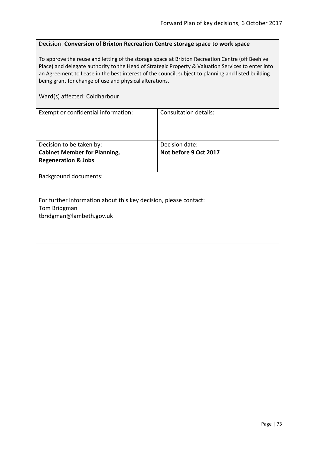# Decision: **Conversion of Brixton Recreation Centre storage space to work space**

To approve the reuse and letting of the storage space at Brixton Recreation Centre (off Beehive Place) and delegate authority to the Head of Strategic Property & Valuation Services to enter into an Agreement to Lease in the best interest of the council, subject to planning and listed building being grant for change of use and physical alterations.

#### Ward(s) affected: Coldharbour

| Exempt or confidential information:                              | Consultation details: |
|------------------------------------------------------------------|-----------------------|
|                                                                  |                       |
|                                                                  |                       |
|                                                                  |                       |
| Decision to be taken by:                                         | Decision date:        |
| <b>Cabinet Member for Planning,</b>                              | Not before 9 Oct 2017 |
| <b>Regeneration &amp; Jobs</b>                                   |                       |
|                                                                  |                       |
| <b>Background documents:</b>                                     |                       |
|                                                                  |                       |
|                                                                  |                       |
| For further information about this key decision, please contact: |                       |
| Tom Bridgman                                                     |                       |
| tbridgman@lambeth.gov.uk                                         |                       |
|                                                                  |                       |
|                                                                  |                       |
|                                                                  |                       |
|                                                                  |                       |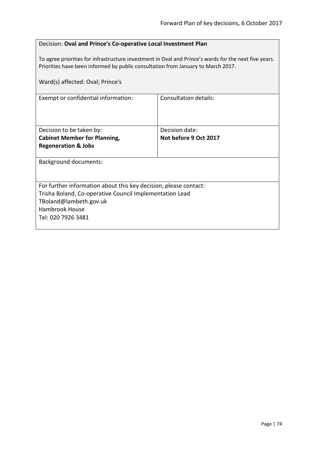| Decision: Oval and Prince's Co-operative Local Investment Plan |
|----------------------------------------------------------------|
|----------------------------------------------------------------|

To agree priorities for infrastructure investment in Oval and Prince's wards for the next five years. Priorities have been informed by public consultation from January to March 2017.

| Ward(s) affected: Oval; Prince's                                 |                       |
|------------------------------------------------------------------|-----------------------|
| Exempt or confidential information:                              | Consultation details: |
| Decision to be taken by:                                         | Decision date:        |
| <b>Cabinet Member for Planning,</b>                              | Not before 9 Oct 2017 |
| <b>Regeneration &amp; Jobs</b>                                   |                       |
| <b>Background documents:</b>                                     |                       |
| For further information about this key decision, please contact: |                       |
| Trisha Boland, Co-operative Council Implementation Lead          |                       |
| TBoland@lambeth.gov.uk                                           |                       |
| <b>Hambrook House</b>                                            |                       |
| Tel: 020 7926 3481                                               |                       |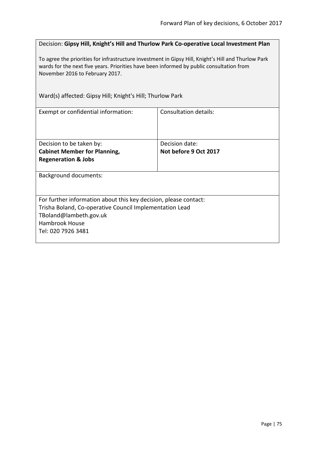Decision: **Gipsy Hill, Knight's Hill and Thurlow Park Co-operative Local Investment Plan**

To agree the priorities for infrastructure investment in Gipsy Hill, Knight's Hill and Thurlow Park wards for the next five years. Priorities have been informed by public consultation from November 2016 to February 2017.

Ward(s) affected: Gipsy Hill; Knight's Hill; Thurlow Park

| Exempt or confidential information:                              | Consultation details: |
|------------------------------------------------------------------|-----------------------|
| Decision to be taken by:                                         | Decision date:        |
| <b>Cabinet Member for Planning,</b>                              | Not before 9 Oct 2017 |
| <b>Regeneration &amp; Jobs</b>                                   |                       |
| <b>Background documents:</b>                                     |                       |
| For further information about this key decision, please contact: |                       |
| Trisha Boland, Co-operative Council Implementation Lead          |                       |
| TBoland@lambeth.gov.uk                                           |                       |
| Hambrook House                                                   |                       |
| Tel: 020 7926 3481                                               |                       |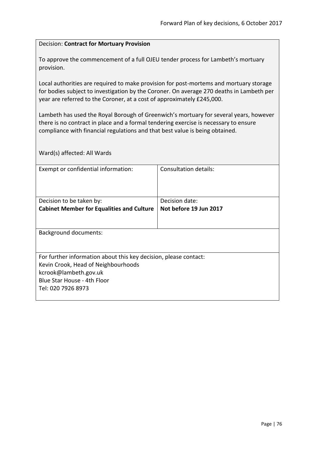## Decision: **Contract for Mortuary Provision**

To approve the commencement of a full OJEU tender process for Lambeth's mortuary provision.

Local authorities are required to make provision for post-mortems and mortuary storage for bodies subject to investigation by the Coroner. On average 270 deaths in Lambeth per year are referred to the Coroner, at a cost of approximately £245,000.

Lambeth has used the Royal Borough of Greenwich's mortuary for several years, however there is no contract in place and a formal tendering exercise is necessary to ensure compliance with financial regulations and that best value is being obtained.

Ward(s) affected: All Wards

| Exempt or confidential information:                              | Consultation details:  |
|------------------------------------------------------------------|------------------------|
|                                                                  |                        |
|                                                                  |                        |
| Decision to be taken by:                                         | Decision date:         |
| <b>Cabinet Member for Equalities and Culture</b>                 | Not before 19 Jun 2017 |
|                                                                  |                        |
|                                                                  |                        |
| <b>Background documents:</b>                                     |                        |
|                                                                  |                        |
| For further information about this key decision, please contact: |                        |
| Kevin Crook, Head of Neighbourhoods                              |                        |
| kcrook@lambeth.gov.uk                                            |                        |
| Blue Star House - 4th Floor                                      |                        |
| Tel: 020 7926 8973                                               |                        |
|                                                                  |                        |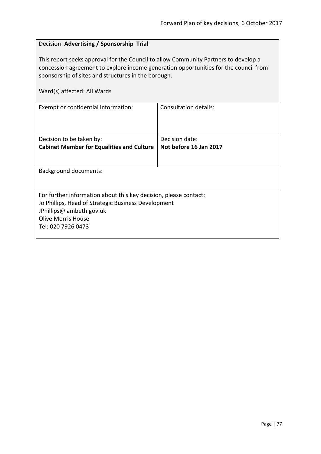# Decision: **Advertising / Sponsorship Trial** This report seeks approval for the Council to allow Community Partners to develop a concession agreement to explore income generation opportunities for the council from sponsorship of sites and structures in the borough. Ward(s) affected: All Wards Exempt or confidential information: Consultation details: Decision to be taken by: **Cabinet Member for Equalities and Culture** Decision date: **Not before 16 Jan 2017** Background documents: For further information about this key decision, please contact: Jo Phillips, Head of Strategic Business Development JPhillips@lambeth.gov.uk Olive Morris House Tel: 020 7926 0473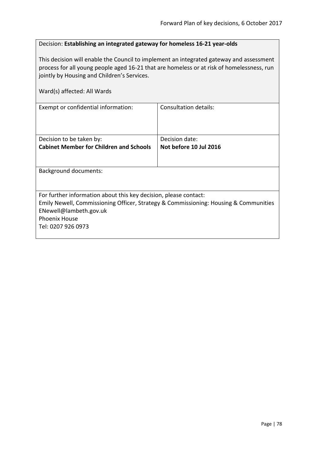# Decision: **Establishing an integrated gateway for homeless 16-21 year-olds**

This decision will enable the Council to implement an integrated gateway and assessment process for all young people aged 16-21 that are homeless or at risk of homelessness, run jointly by Housing and Children's Services.

| Consultation details:                                                                |
|--------------------------------------------------------------------------------------|
| Decision date:                                                                       |
| Not before 10 Jul 2016                                                               |
|                                                                                      |
|                                                                                      |
| For further information about this key decision, please contact:                     |
| Emily Newell, Commissioning Officer, Strategy & Commissioning: Housing & Communities |
|                                                                                      |
|                                                                                      |
|                                                                                      |
|                                                                                      |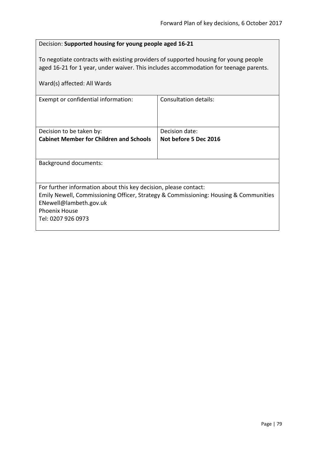# Decision: **Supported housing for young people aged 16-21**

To negotiate contracts with existing providers of supported housing for young people aged 16-21 for 1 year, under waiver. This includes accommodation for teenage parents.

| Ward(s) affected: All Wards                                                                                                                                                                                                      |                              |
|----------------------------------------------------------------------------------------------------------------------------------------------------------------------------------------------------------------------------------|------------------------------|
| Exempt or confidential information:                                                                                                                                                                                              | <b>Consultation details:</b> |
| Decision to be taken by:                                                                                                                                                                                                         | Decision date:               |
| <b>Cabinet Member for Children and Schools</b>                                                                                                                                                                                   | Not before 5 Dec 2016        |
| Background documents:                                                                                                                                                                                                            |                              |
| For further information about this key decision, please contact:<br>Emily Newell, Commissioning Officer, Strategy & Commissioning: Housing & Communities<br>ENewell@lambeth.gov.uk<br><b>Phoenix House</b><br>Tel: 0207 926 0973 |                              |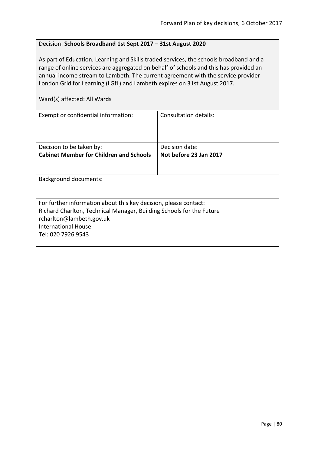# Decision: **Schools Broadband 1st Sept 2017 – 31st August 2020**

As part of Education, Learning and Skills traded services, the schools broadband and a range of online services are aggregated on behalf of schools and this has provided an annual income stream to Lambeth. The current agreement with the service provider London Grid for Learning (LGfL) and Lambeth expires on 31st August 2017.

Ward(s) affected: All Wards

| Exempt or confidential information:                                  | Consultation details:  |
|----------------------------------------------------------------------|------------------------|
| Decision to be taken by:                                             | Decision date:         |
| <b>Cabinet Member for Children and Schools</b>                       | Not before 23 Jan 2017 |
|                                                                      |                        |
| <b>Background documents:</b>                                         |                        |
|                                                                      |                        |
| For further information about this key decision, please contact:     |                        |
| Richard Charlton, Technical Manager, Building Schools for the Future |                        |
| rcharlton@lambeth.gov.uk                                             |                        |
| <b>International House</b>                                           |                        |
| Tel: 020 7926 9543                                                   |                        |
|                                                                      |                        |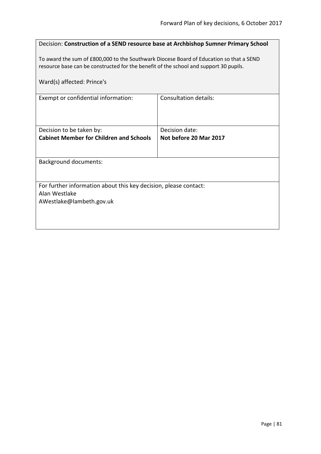| Decision: Construction of a SEND resource base at Archbishop Sumner Primary School                                                                                               |                       |
|----------------------------------------------------------------------------------------------------------------------------------------------------------------------------------|-----------------------|
| To award the sum of £800,000 to the Southwark Diocese Board of Education so that a SEND<br>resource base can be constructed for the benefit of the school and support 30 pupils. |                       |
| Ward(s) affected: Prince's                                                                                                                                                       |                       |
| Exempt or confidential information:                                                                                                                                              | Consultation details: |
|                                                                                                                                                                                  |                       |
| Decision date:<br>Decision to be taken by:<br><b>Cabinet Member for Children and Schools</b><br>Not before 20 Mar 2017                                                           |                       |
|                                                                                                                                                                                  |                       |
| <b>Background documents:</b>                                                                                                                                                     |                       |
|                                                                                                                                                                                  |                       |
| For further information about this key decision, please contact:<br>Alan Westlake                                                                                                |                       |
| AWestlake@lambeth.gov.uk                                                                                                                                                         |                       |
|                                                                                                                                                                                  |                       |
|                                                                                                                                                                                  |                       |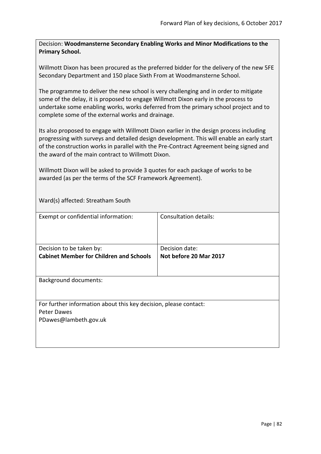Decision: **Woodmansterne Secondary Enabling Works and Minor Modifications to the Primary School.**

Willmott Dixon has been procured as the preferred bidder for the delivery of the new 5FE Secondary Department and 150 place Sixth From at Woodmansterne School.

The programme to deliver the new school is very challenging and in order to mitigate some of the delay, it is proposed to engage Willmott Dixon early in the process to undertake some enabling works, works deferred from the primary school project and to complete some of the external works and drainage.

Its also proposed to engage with Willmott Dixon earlier in the design process including progressing with surveys and detailed design development. This will enable an early start of the construction works in parallel with the Pre-Contract Agreement being signed and the award of the main contract to Willmott Dixon.

Willmott Dixon will be asked to provide 3 quotes for each package of works to be awarded (as per the terms of the SCF Framework Agreement).

Ward(s) affected: Streatham South

| <b>Consultation details:</b>                                     |
|------------------------------------------------------------------|
|                                                                  |
| Decision date:                                                   |
| Not before 20 Mar 2017                                           |
|                                                                  |
|                                                                  |
| For further information about this key decision, please contact: |
|                                                                  |
|                                                                  |
|                                                                  |
|                                                                  |
|                                                                  |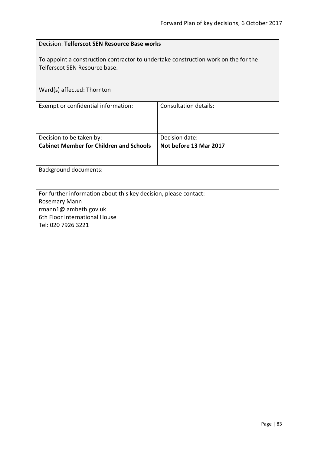|                                                                                                                     | Decision: Telferscot SEN Resource Base works |  |
|---------------------------------------------------------------------------------------------------------------------|----------------------------------------------|--|
| To appoint a construction contractor to undertake construction work on the for the<br>Telferscot SEN Resource base. |                                              |  |
| Ward(s) affected: Thornton                                                                                          |                                              |  |
| Exempt or confidential information:                                                                                 | Consultation details:                        |  |
| Decision to be taken by:                                                                                            | Decision date:                               |  |
| <b>Cabinet Member for Children and Schools</b>                                                                      | Not before 13 Mar 2017                       |  |
| <b>Background documents:</b>                                                                                        |                                              |  |
| For further information about this key decision, please contact:                                                    |                                              |  |
| <b>Rosemary Mann</b><br>rmann1@lambeth.gov.uk                                                                       |                                              |  |
| 6th Floor International House                                                                                       |                                              |  |
| Tel: 020 7926 3221                                                                                                  |                                              |  |